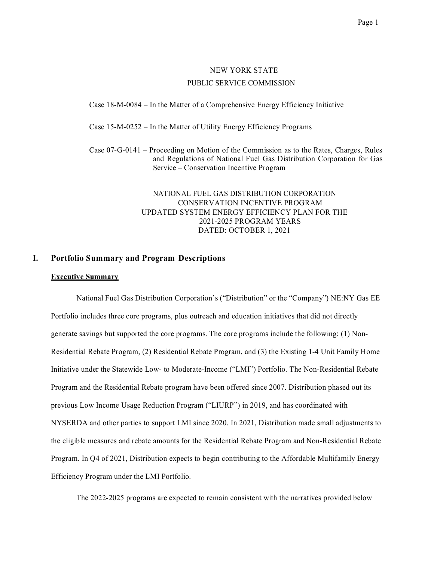# NEW YORK STATE PUBLIC SERVICE COMMISSION

Case 18-M-0084 – In the Matter of a Comprehensive Energy Efficiency Initiative

Case 15-M-0252 – In the Matter of Utility Energy Efficiency Programs

Case 07-G-0141 – Proceeding on Motion of the Commission as to the Rates, Charges, Rules and Regulations of National Fuel Gas Distribution Corporation for Gas Service – Conservation Incentive Program

> NATIONAL FUEL GAS DISTRIBUTION CORPORATION CONSERVATION INCENTIVE PROGRAM UPDATED SYSTEM ENERGY EFFICIENCY PLAN FOR THE 2021-2025 PROGRAM YEARS DATED: OCTOBER 1, 2021

# **I. Portfolio Summary and Program Descriptions**

# **Executive Summary**

National Fuel Gas Distribution Corporation's ("Distribution" or the "Company") NE:NY Gas EE Portfolio includes three core programs, plus outreach and education initiatives that did not directly generate savings but supported the core programs. The core programs include the following: (1) Non-Residential Rebate Program, (2) Residential Rebate Program, and (3) the Existing 1-4 Unit Family Home Initiative under the Statewide Low- to Moderate-Income ("LMI") Portfolio. The Non-Residential Rebate Program and the Residential Rebate program have been offered since 2007. Distribution phased out its previous Low Income Usage Reduction Program ("LIURP") in 2019, and has coordinated with NYSERDA and other parties to support LMI since 2020. In 2021, Distribution made small adjustments to the eligible measures and rebate amounts for the Residential Rebate Program and Non-Residential Rebate Program. In Q4 of 2021, Distribution expects to begin contributing to the Affordable Multifamily Energy Efficiency Program under the LMI Portfolio.

The 2022-2025 programs are expected to remain consistent with the narratives provided below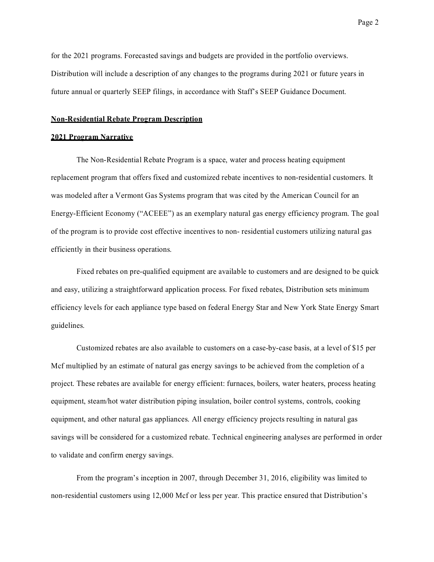for the 2021 programs. Forecasted savings and budgets are provided in the portfolio overviews. Distribution will include a description of any changes to the programs during 2021 or future years in future annual or quarterly SEEP filings, in accordance with Staff's SEEP Guidance Document.

#### **Non-Residential Rebate Program Description**

#### **2021 Program Narrative**

The Non-Residential Rebate Program is a space, water and process heating equipment replacement program that offers fixed and customized rebate incentives to non-residential customers. It was modeled after a Vermont Gas Systems program that was cited by the American Council for an Energy-Efficient Economy ("ACEEE") as an exemplary natural gas energy efficiency program. The goal of the program is to provide cost effective incentives to non- residential customers utilizing natural gas efficiently in their business operations.

Fixed rebates on pre-qualified equipment are available to customers and are designed to be quick and easy, utilizing a straightforward application process. For fixed rebates, Distribution sets minimum efficiency levels for each appliance type based on federal Energy Star and New York State Energy Smart guidelines.

Customized rebates are also available to customers on a case-by-case basis, at a level of \$15 per Mcf multiplied by an estimate of natural gas energy savings to be achieved from the completion of a project. These rebates are available for energy efficient: furnaces, boilers, water heaters, process heating equipment, steam/hot water distribution piping insulation, boiler control systems, controls, cooking equipment, and other natural gas appliances. All energy efficiency projects resulting in natural gas savings will be considered for a customized rebate. Technical engineering analyses are performed in order to validate and confirm energy savings.

From the program's inception in 2007, through December 31, 2016, eligibility was limited to non-residential customers using 12,000 Mcf or less per year. This practice ensured that Distribution's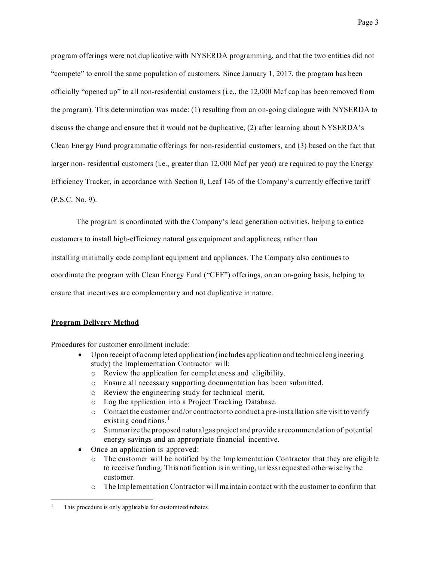program offerings were not duplicative with NYSERDA programming, and that the two entities did not "compete" to enroll the same population of customers. Since January 1, 2017, the program has been officially "opened up" to all non-residential customers (i.e., the 12,000 Mcf cap has been removed from the program). This determination was made: (1) resulting from an on-going dialogue with NYSERDA to discuss the change and ensure that it would not be duplicative, (2) after learning about NYSERDA's Clean Energy Fund programmatic offerings for non-residential customers, and (3) based on the fact that larger non- residential customers (i.e., greater than 12,000 Mcf per year) are required to pay the Energy Efficiency Tracker, in accordance with Section 0, Leaf 146 of the Company's currently effective tariff (P.S.C. No. 9).

The program is coordinated with the Company's lead generation activities, helping to entice customers to install high-efficiency natural gas equipment and appliances, rather than installing minimally code compliant equipment and appliances. The Company also continues to coordinate the program with Clean Energy Fund ("CEF") offerings, on an on-going basis, helping to ensure that incentives are complementary and not duplicative in nature.

## **Program Delivery Method**

Procedures for customer enrollment include:

- Upon receipt of a completed application (includes application and technical engineering study) the Implementation Contractor will:
	- o Review the application for completeness and eligibility.
	- o Ensure all necessary supporting documentation has been submitted.
	- o Review the engineering study for technical merit.
	- o Log the application into a Project Tracking Database.
	- o Contact the customer and/or contractor to conduct a pre-installation site visit to verify existing conditions. $<sup>1</sup>$  $<sup>1</sup>$  $<sup>1</sup>$ </sup>
	- o Summarize theproposed naturalgas project andprovide arecommendation of potential energy savings and an appropriate financial incentive.
- Once an application is approved:
	- $\circ$  The customer will be notified by the Implementation Contractor that they are eligible to receive funding. This notification is in writing, unless requested otherwise by the customer.
	- o The Implementation Contractor willmaintain contact with the customer to confirm that

<span id="page-2-0"></span>This procedure is only applicable for customized rebates.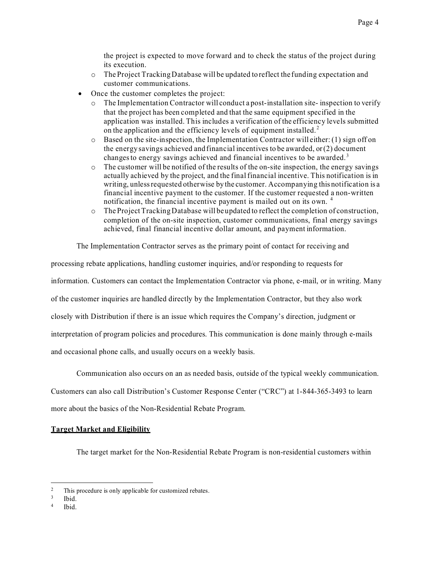the project is expected to move forward and to check the status of the project during its execution.

- o The Project TrackingDatabase will be updated to reflect the funding expectation and customer communications.
- Once the customer completes the project:
	- The Implementation Contractor will conduct a post-installation site- inspection to verify that the project has been completed and that the same equipment specified in the application was installed. This includes a verification of the efficiency levels submitted on the application and the efficiency levels of equipment installed.<sup>[2](#page-3-0)</sup>
	- $\circ$  Based on the site-inspection, the Implementation Contractor will either: (1) sign off on the energy savings achieved and financial incentives to be awarded, or(2) document changesto energy savings achieved and financial incentives to be awarded. [3](#page-3-1)
	- $\circ$  The customer will be notified of the results of the on-site inspection, the energy savings actually achieved by the project, and the finalfinancial incentive. This notification is in writing, unlessrequested otherwise by the customer. Accompanying this notification is a financial incentive payment to the customer. If the customer requested a non-written notification, the financial incentive payment is mailed out on its own.<sup>[4](#page-3-2)</sup>
	- o The Project TrackingDatabase will beupdated to reflect the completion of construction, completion of the on-site inspection, customer communications, final energy savings achieved, final financial incentive dollar amount, and payment information.

The Implementation Contractor serves as the primary point of contact for receiving and

processing rebate applications, handling customer inquiries, and/or responding to requests for information. Customers can contact the Implementation Contractor via phone, e-mail, or in writing. Many of the customer inquiries are handled directly by the Implementation Contractor, but they also work closely with Distribution if there is an issue which requires the Company's direction, judgment or interpretation of program policies and procedures. This communication is done mainly through e-mails and occasional phone calls, and usually occurs on a weekly basis.

Communication also occurs on an as needed basis, outside of the typical weekly communication. Customers can also call Distribution's Customer Response Center ("CRC") at 1-844-365-3493 to learn more about the basics of the Non-Residential Rebate Program.

### **Target Market and Eligibility**

The target market for the Non-Residential Rebate Program is non-residential customers within

<span id="page-3-0"></span><sup>&</sup>lt;sup>2</sup> This procedure is only applicable for customized rebates.<br> $\frac{3}{2}$ 

<span id="page-3-2"></span><span id="page-3-1"></span> $\frac{3}{4}$  Ibid.

Ibid.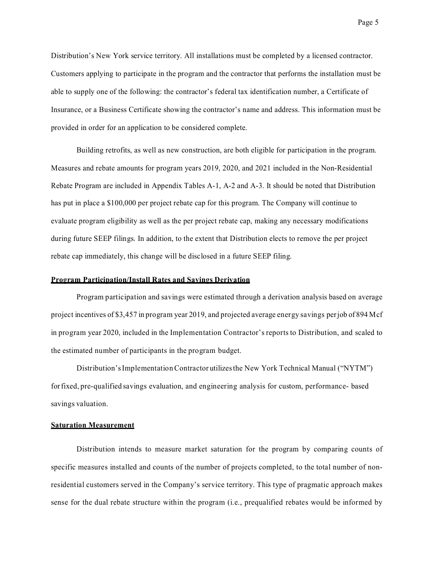Distribution's New York service territory. All installations must be completed by a licensed contractor. Customers applying to participate in the program and the contractor that performs the installation must be able to supply one of the following: the contractor's federal tax identification number, a Certificate of Insurance, or a Business Certificate showing the contractor's name and address. This information must be provided in order for an application to be considered complete.

Building retrofits, as well as new construction, are both eligible for participation in the program. Measures and rebate amounts for program years 2019, 2020, and 2021 included in the Non-Residential Rebate Program are included in Appendix [Tables](#page-24-0) A-1, A-2 and A-3. It should be noted that Distribution has put in place a \$100,000 per project rebate cap for this program. The Company will continue to evaluate program eligibility as well as the per project rebate cap, making any necessary modifications during future SEEP filings. In addition, to the extent that Distribution elects to remove the per project rebate cap immediately, this change will be disclosed in a future SEEP filing.

### **Program Participation/Install Rates and Savings Derivation**

Program participation and savings were estimated through a derivation analysis based on average project incentives of \$3,457 in program year 2019, and projected average energy savings perjob of 894 Mcf in program year 2020, included in the Implementation Contractor's reports to Distribution, and scaled to the estimated number of participants in the program budget.

Distribution's Implementation Contractor utilizes the New York Technical Manual ("NYTM") forfixed, pre-qualified savings evaluation, and engineering analysis for custom, performance- based savings valuation.

## **Saturation Measurement**

Distribution intends to measure market saturation for the program by comparing counts of specific measures installed and counts of the number of projects completed, to the total number of nonresidential customers served in the Company's service territory. This type of pragmatic approach makes sense for the dual rebate structure within the program (i.e., prequalified rebates would be informed by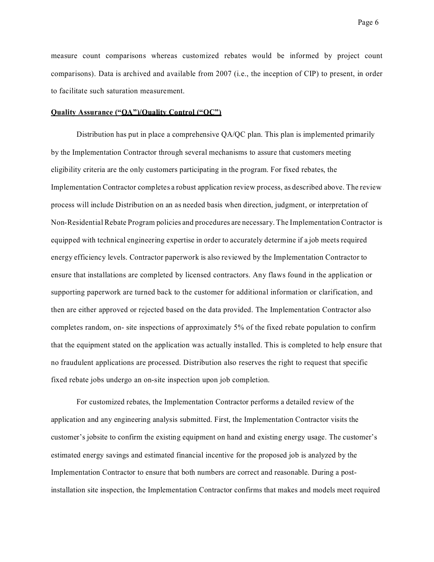Page 6

measure count comparisons whereas customized rebates would be informed by project count comparisons). Data is archived and available from 2007 (i.e., the inception of CIP) to present, in order to facilitate such saturation measurement.

#### **Quality Assurance ("QA")/Quality Control ("QC")**

Distribution has put in place a comprehensive QA/QC plan. This plan is implemented primarily by the Implementation Contractor through several mechanisms to assure that customers meeting eligibility criteria are the only customers participating in the program. For fixed rebates, the Implementation Contractor completes a robust application review process, as described above. The review process will include Distribution on an as needed basis when direction, judgment, or interpretation of Non-Residential Rebate Program policies and procedures are necessary. The Implementation Contractor is equipped with technical engineering expertise in order to accurately determine if a job meets required energy efficiency levels. Contractor paperwork is also reviewed by the Implementation Contractor to ensure that installations are completed by licensed contractors. Any flaws found in the application or supporting paperwork are turned back to the customer for additional information or clarification, and then are either approved or rejected based on the data provided. The Implementation Contractor also completes random, on- site inspections of approximately 5% of the fixed rebate population to confirm that the equipment stated on the application was actually installed. This is completed to help ensure that no fraudulent applications are processed. Distribution also reserves the right to request that specific fixed rebate jobs undergo an on-site inspection upon job completion.

For customized rebates, the Implementation Contractor performs a detailed review of the application and any engineering analysis submitted. First, the Implementation Contractor visits the customer's jobsite to confirm the existing equipment on hand and existing energy usage. The customer's estimated energy savings and estimated financial incentive for the proposed job is analyzed by the Implementation Contractor to ensure that both numbers are correct and reasonable. During a postinstallation site inspection, the Implementation Contractor confirms that makes and models meet required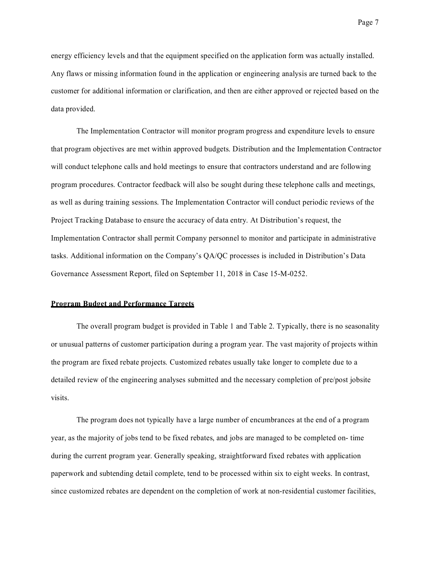energy efficiency levels and that the equipment specified on the application form was actually installed. Any flaws or missing information found in the application or engineering analysis are turned back to the customer for additional information or clarification, and then are either approved or rejected based on the data provided.

The Implementation Contractor will monitor program progress and expenditure levels to ensure that program objectives are met within approved budgets. Distribution and the Implementation Contractor will conduct telephone calls and hold meetings to ensure that contractors understand and are following program procedures. Contractor feedback will also be sought during these telephone calls and meetings, as well as during training sessions. The Implementation Contractor will conduct periodic reviews of the Project Tracking Database to ensure the accuracy of data entry. At Distribution's request, the Implementation Contractor shall permit Company personnel to monitor and participate in administrative tasks. Additional information on the Company's QA/QC processes is included in Distribution's Data Governance Assessment Report, filed on September 11, 2018 in Case 15-M-0252.

#### **Program Budget and Performance Targets**

The overall program budget is provided in [Table 1 a](#page-14-0)nd [Table 2. T](#page-15-0)ypically, there is no seasonality or unusual patterns of customer participation during a program year. The vast majority of projects within the program are fixed rebate projects. Customized rebates usually take longer to complete due to a detailed review of the engineering analyses submitted and the necessary completion of pre/post jobsite visits.

The program does not typically have a large number of encumbrances at the end of a program year, as the majority of jobs tend to be fixed rebates, and jobs are managed to be completed on- time during the current program year. Generally speaking, straightforward fixed rebates with application paperwork and subtending detail complete, tend to be processed within six to eight weeks. In contrast, since customized rebates are dependent on the completion of work at non-residential customer facilities,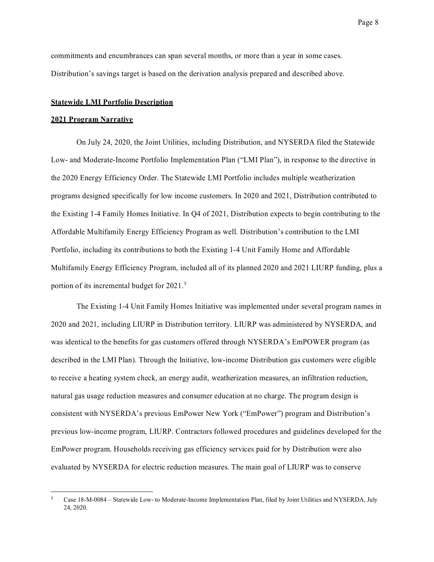commitments and encumbrances can span several months, or more than a year in some cases. Distribution's savings target is based on the derivation analysis prepared and described above.

## **Statewide LMI Portfolio Description**

#### **2021 Program Narrative**

On July 24, 2020, the Joint Utilities, including Distribution, and NYSERDA filed the Statewide Low- and Moderate-Income Portfolio Implementation Plan ("LMI Plan"), in response to the directive in the 2020 Energy Efficiency Order. The Statewide LMI Portfolio includes multiple weatherization programs designed specifically for low income customers. In 2020 and 2021, Distribution contributed to the Existing 1-4 Family Homes Initiative. In Q4 of 2021, Distribution expects to begin contributing to the Affordable Multifamily Energy Efficiency Program as well. Distribution's contribution to the LMI Portfolio, including its contributions to both the Existing 1-4 Unit Family Home and Affordable Multifamily Energy Efficiency Program, included all of its planned 2020 and 2021 LIURP funding, plus a portion of its incremental budget for 2021.<sup>[5](#page-7-0)</sup>

The Existing 1-4 Unit Family Homes Initiative was implemented under several program names in 2020 and 2021, including LIURP in Distribution territory. LIURP was administered by NYSERDA, and was identical to the benefits for gas customers offered through NYSERDA's EmPOWER program (as described in the LMI Plan). Through the Initiative, low-income Distribution gas customers were eligible to receive a heating system check, an energy audit, weatherization measures, an infiltration reduction, natural gas usage reduction measures and consumer education at no charge. The program design is consistent with NYSERDA's previous EmPower New York ("EmPower") program and Distribution's previous low-income program, LIURP. Contractors followed procedures and guidelines developed for the EmPower program. Households receiving gas efficiency services paid for by Distribution were also evaluated by NYSERDA for electric reduction measures. The main goal of LIURP was to conserve

<span id="page-7-0"></span> <sup>5</sup> Case 18-M-0084 – Statewide Low- to Moderate-Income Implementation Plan, filed by Joint Utilities and NYSERDA, July 24, 2020.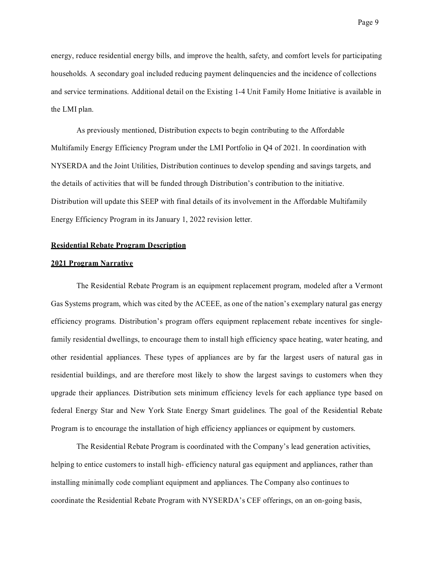energy, reduce residential energy bills, and improve the health, safety, and comfort levels for participating households. A secondary goal included reducing payment delinquencies and the incidence of collections and service terminations. Additional detail on the Existing 1-4 Unit Family Home Initiative is available in the LMI plan.

As previously mentioned, Distribution expects to begin contributing to the Affordable Multifamily Energy Efficiency Program under the LMI Portfolio in Q4 of 2021. In coordination with NYSERDA and the Joint Utilities, Distribution continues to develop spending and savings targets, and the details of activities that will be funded through Distribution's contribution to the initiative. Distribution will update this SEEP with final details of its involvement in the Affordable Multifamily Energy Efficiency Program in its January 1, 2022 revision letter.

# **Residential Rebate Program Description**

#### **2021 Program Narrative**

The Residential Rebate Program is an equipment replacement program, modeled after a Vermont Gas Systems program, which was cited by the ACEEE, as one of the nation's exemplary natural gas energy efficiency programs. Distribution's program offers equipment replacement rebate incentives for singlefamily residential dwellings, to encourage them to install high efficiency space heating, water heating, and other residential appliances. These types of appliances are by far the largest users of natural gas in residential buildings, and are therefore most likely to show the largest savings to customers when they upgrade their appliances. Distribution sets minimum efficiency levels for each appliance type based on federal Energy Star and New York State Energy Smart guidelines. The goal of the Residential Rebate Program is to encourage the installation of high efficiency appliances or equipment by customers.

The Residential Rebate Program is coordinated with the Company's lead generation activities, helping to entice customers to install high- efficiency natural gas equipment and appliances, rather than installing minimally code compliant equipment and appliances. The Company also continues to coordinate the Residential Rebate Program with NYSERDA's CEF offerings, on an on-going basis,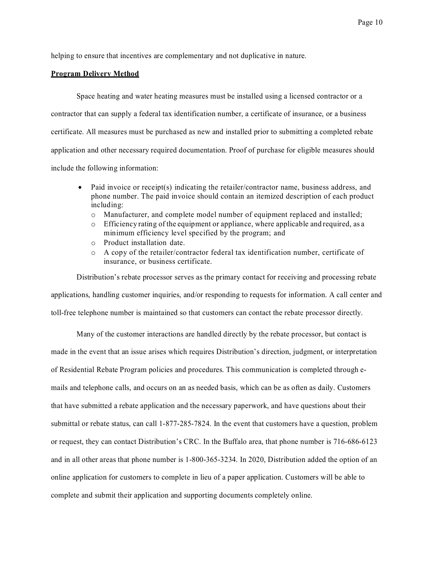helping to ensure that incentives are complementary and not duplicative in nature.

# **Program Delivery Method**

Space heating and water heating measures must be installed using a licensed contractor or a contractor that can supply a federal tax identification number, a certificate of insurance, or a business certificate. All measures must be purchased as new and installed prior to submitting a completed rebate application and other necessary required documentation. Proof of purchase for eligible measures should include the following information:

- Paid invoice or receipt(s) indicating the retailer/contractor name, business address, and phone number. The paid invoice should contain an itemized description of each product including:
	- o Manufacturer, and complete model number of equipment replaced and installed;
	- $\circ$  Efficiency rating of the equipment or appliance, where applicable and required, as a minimum efficiency level specified by the program; and
	- o Product installation date.
	- o A copy of the retailer/contractor federal tax identification number, certificate of insurance, or business certificate.

Distribution's rebate processor serves as the primary contact for receiving and processing rebate applications, handling customer inquiries, and/or responding to requests for information. A call center and toll-free telephone number is maintained so that customers can contact the rebate processor directly.

Many of the customer interactions are handled directly by the rebate processor, but contact is made in the event that an issue arises which requires Distribution's direction, judgment, or interpretation of Residential Rebate Program policies and procedures. This communication is completed through emails and telephone calls, and occurs on an as needed basis, which can be as often as daily. Customers that have submitted a rebate application and the necessary paperwork, and have questions about their submittal or rebate status, can call 1-877-285-7824. In the event that customers have a question, problem or request, they can contact Distribution's CRC. In the Buffalo area, that phone number is 716-686-6123 and in all other areas that phone number is 1-800-365-3234. In 2020, Distribution added the option of an online application for customers to complete in lieu of a paper application. Customers will be able to complete and submit their application and supporting documents completely online.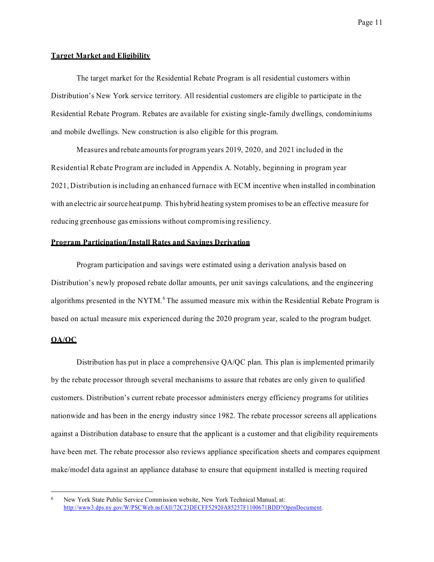#### **Target Market and Eligibility**

The target market for the Residential Rebate Program is all residential customers within Distribution's New York service territory. All residential customers are eligible to participate in the Residential Rebate Program. Rebates are available for existing single-family dwellings, condominiums and mobile dwellings. New construction is also eligible for this program.

Measures and rebate amountsfor program years 2019, 2020, and 2021 included in the Residential Rebate Program are included in Appendix A. Notably, beginning in program year 2021, Distribution isincluding an enhanced furnace with ECM incentive when installed in combination with an electric air source heatpump. This hybrid heating system promises to be an effective measure for reducing greenhouse gas emissions without compromising resiliency.

# **Program Participation/Install Rates and Savings Derivation**

Program participation and savings were estimated using a derivation analysis based on Distribution's newly proposed rebate dollar amounts, per unit savings calculations, and the engineering algorithms presented in the NYTM. [6](#page-10-0) The assumed measure mix within the Residential Rebate Program is based on actual measure mix experienced during the 2020 program year, scaled to the program budget.

# **QA/QC**

Distribution has put in place a comprehensive QA/QC plan. This plan is implemented primarily by the rebate processor through several mechanisms to assure that rebates are only given to qualified customers. Distribution's current rebate processor administers energy efficiency programs for utilities nationwide and has been in the energy industry since 1982. The rebate processor screens all applications against a Distribution database to ensure that the applicant is a customer and that eligibility requirements have been met. The rebate processor also reviews appliance specification sheets and compares equipment make/model data against an appliance database to ensure that equipment installed is meeting required

<span id="page-10-0"></span>New York State Public Service Commission website, New York Technical Manual, at: [http://www3.dps.ny.gov/W/PSCWeb.nsf/All/72C23DECFF52920A85257F1100671BDD?OpenDocument.](http://www3.dps.ny.gov/W/PSCWeb.nsf/All/72C23DECFF52920A85257F1100671BDD?OpenDocument)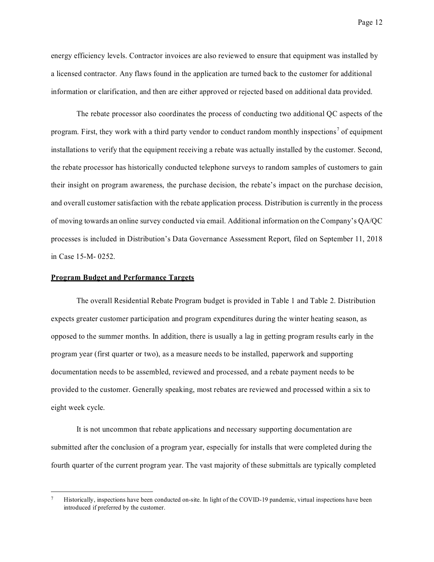energy efficiency levels. Contractor invoices are also reviewed to ensure that equipment was installed by a licensed contractor. Any flaws found in the application are turned back to the customer for additional information or clarification, and then are either approved or rejected based on additional data provided.

The rebate processor also coordinates the process of conducting two additional QC aspects of the program. First, they work with a third party vendor to conduct random monthly inspections<sup>[7](#page-11-0)</sup> of equipment installations to verify that the equipment receiving a rebate was actually installed by the customer. Second, the rebate processor has historically conducted telephone surveys to random samples of customers to gain their insight on program awareness, the purchase decision, the rebate's impact on the purchase decision, and overall customer satisfaction with the rebate application process. Distribution is currently in the process of moving towards an online survey conducted via email. Additional information on the Company's QA/QC processes is included in Distribution's Data Governance Assessment Report, filed on September 11, 2018 in Case 15-M- 0252.

# **Program Budget and Performance Targets**

The overall Residential Rebate Program budget is provided in [Table](#page-14-0) 1 and [Table 2.](#page-15-0) Distribution expects greater customer participation and program expenditures during the winter heating season, as opposed to the summer months. In addition, there is usually a lag in getting program results early in the program year (first quarter or two), as a measure needs to be installed, paperwork and supporting documentation needs to be assembled, reviewed and processed, and a rebate payment needs to be provided to the customer. Generally speaking, most rebates are reviewed and processed within a six to eight week cycle.

It is not uncommon that rebate applications and necessary supporting documentation are submitted after the conclusion of a program year, especially for installs that were completed during the fourth quarter of the current program year. The vast majority of these submittals are typically completed

<span id="page-11-0"></span>Historically, inspections have been conducted on-site. In light of the COVID-19 pandemic, virtual inspections have been introduced if preferred by the customer.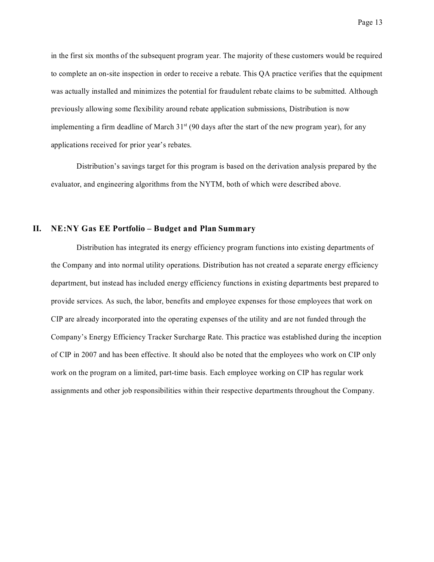in the first six months of the subsequent program year. The majority of these customers would be required to complete an on-site inspection in order to receive a rebate. This QA practice verifies that the equipment was actually installed and minimizes the potential for fraudulent rebate claims to be submitted. Although previously allowing some flexibility around rebate application submissions, Distribution is now implementing a firm deadline of March  $31<sup>st</sup>$  (90 days after the start of the new program year), for any applications received for prior year's rebates.

Distribution's savings target for this program is based on the derivation analysis prepared by the evaluator, and engineering algorithms from the NYTM, both of which were described above.

# <span id="page-12-0"></span>**II. NE:NY Gas EE Portfolio – Budget and Plan Summary**

Distribution has integrated its energy efficiency program functions into existing departments of the Company and into normal utility operations. Distribution has not created a separate energy efficiency department, but instead has included energy efficiency functions in existing departments best prepared to provide services. As such, the labor, benefits and employee expenses for those employees that work on CIP are already incorporated into the operating expenses of the utility and are not funded through the Company's Energy Efficiency Tracker Surcharge Rate. This practice was established during the inception of CIP in 2007 and has been effective. It should also be noted that the employees who work on CIP only work on the program on a limited, part-time basis. Each employee working on CIP has regular work assignments and other job responsibilities within their respective departments throughout the Company.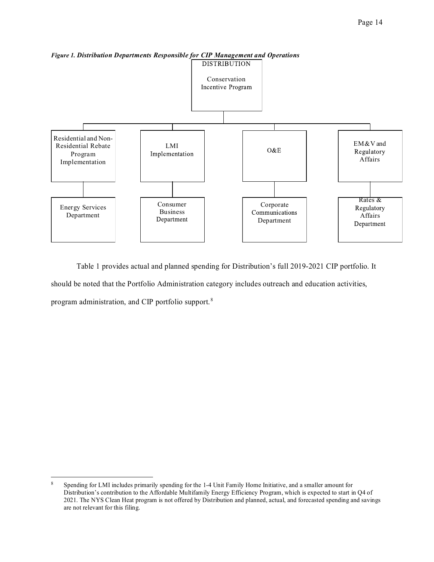

*Figure 1. Distribution Departments Responsible for CIP Management and Operations*

[Table 1](#page-14-0) provides actual and planned spending for Distribution's full 2019-2021 CIP portfolio. It should be noted that the Portfolio Administration category includes outreach and education activities, program administration, and CIP portfol[io s](#page-14-1)upport. [8](#page-13-0)

<span id="page-13-0"></span> <sup>8</sup> Spending for LMI includes primarily spending for the 1-4 Unit Family Home Initiative, and a smaller amount for Distribution's contribution to the Affordable Multifamily Energy Efficiency Program, which is expected to start in Q4 of 2021. The NYS Clean Heat program is not offered by Distribution and planned, actual, and forecasted spending and savings are not relevant for this filing.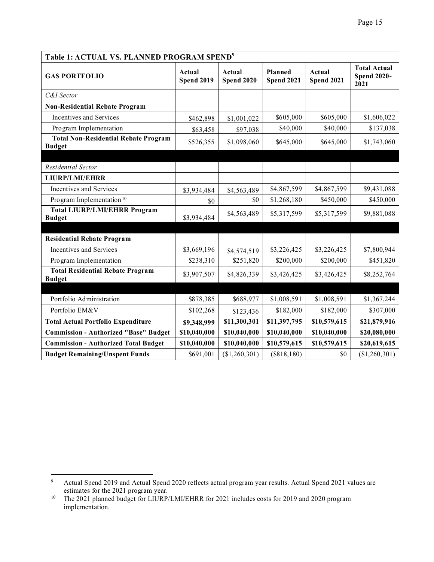<span id="page-14-0"></span>

| Table 1: ACTUAL VS. PLANNED PROGRAM SPEND <sup>9</sup>       |                             |                             |                              |                                    |                                                   |
|--------------------------------------------------------------|-----------------------------|-----------------------------|------------------------------|------------------------------------|---------------------------------------------------|
| <b>GAS PORTFOLIO</b>                                         | Actual<br><b>Spend 2019</b> | Actual<br><b>Spend 2020</b> | Planned<br><b>Spend 2021</b> | <b>Actual</b><br><b>Spend 2021</b> | <b>Total Actual</b><br><b>Spend 2020-</b><br>2021 |
| C&I Sector                                                   |                             |                             |                              |                                    |                                                   |
| <b>Non-Residential Rebate Program</b>                        |                             |                             |                              |                                    |                                                   |
| Incentives and Services                                      | \$462,898                   | \$1,001,022                 | \$605,000                    | \$605,000                          | \$1,606,022                                       |
| Program Implementation                                       | \$63,458                    | \$97,038                    | \$40,000                     | \$40,000                           | \$137,038                                         |
| <b>Total Non-Residential Rebate Program</b><br><b>Budget</b> | \$526,355                   | \$1,098,060                 | \$645,000                    | \$645,000                          | \$1,743,060                                       |
|                                                              |                             |                             |                              |                                    |                                                   |
| Residential Sector                                           |                             |                             |                              |                                    |                                                   |
| LIURP/LMI/EHRR                                               |                             |                             |                              |                                    |                                                   |
| Incentives and Services                                      | \$3,934,484                 | \$4,563,489                 | \$4,867,599                  | \$4,867,599                        | \$9,431,088                                       |
| Program Implementation <sup>10</sup>                         | \$0                         | \$0                         | \$1,268,180                  | \$450,000                          | \$450,000                                         |
| <b>Total LIURP/LMI/EHRR Program</b><br><b>Budget</b>         | \$3,934,484                 | \$4,563,489                 | \$5,317,599                  | \$5,317,599                        | \$9,881,088                                       |
|                                                              |                             |                             |                              |                                    |                                                   |
| <b>Residential Rebate Program</b>                            |                             |                             |                              |                                    |                                                   |
| Incentives and Services                                      | \$3,669,196                 | \$4,574,519                 | \$3,226,425                  | \$3,226,425                        | \$7,800,944                                       |
| Program Implementation                                       | \$238,310                   | \$251,820                   | \$200,000                    | \$200,000                          | \$451,820                                         |
| <b>Total Residential Rebate Program</b><br><b>Budget</b>     | \$3,907,507                 | \$4,826,339                 | \$3,426,425                  | \$3,426,425                        | \$8,252,764                                       |
| Portfolio Administration                                     | \$878,385                   | \$688,977                   | \$1,008,591                  | \$1,008,591                        | \$1,367,244                                       |
| Portfolio EM&V                                               | \$102,268                   | \$123,436                   | \$182,000                    | \$182,000                          | \$307,000                                         |
| <b>Total Actual Portfolio Expenditure</b>                    | \$9,348,999                 | \$11,300,301                | \$11,397,795                 | \$10,579,615                       | \$21,879,916                                      |
| <b>Commission - Authorized "Base" Budget</b>                 | \$10,040,000                | \$10,040,000                | \$10,040,000                 | \$10,040,000                       | \$20,080,000                                      |
| <b>Commission - Authorized Total Budget</b>                  | \$10,040,000                | \$10,040,000                | \$10,579,615                 | \$10,579,615                       | \$20,619,615                                      |
| <b>Budget Remaining/Unspent Funds</b>                        | \$691,001                   | (\$1,260,301)               | (\$818,180)                  | $\$0$                              | (\$1,260,301)                                     |

<span id="page-14-2"></span><span id="page-14-1"></span> <sup>9</sup> Actual Spend 2019 and Actual Spend 2020 reflects actual program year results. Actual Spend 2021 values are estimates for the 2021 program year.

<span id="page-14-3"></span><sup>&</sup>lt;sup>10</sup> The 2021 planned budget for LIURP/LMI/EHRR for 2021 includes costs for 2019 and 2020 program implementation.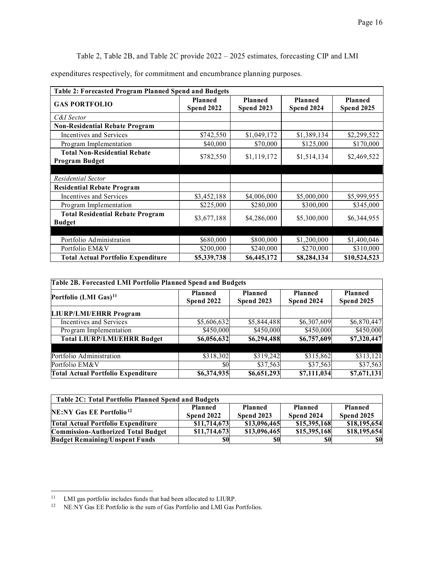[Table 2, Table 2B, a](#page-15-0)nd [Table 2C p](#page-15-1)rovide 2022 – 2025 estimates, forecasting CIP and LMI

|  |  | expenditures respectively, for commitment and encumbrance planning purposes |  |  |  |
|--|--|-----------------------------------------------------------------------------|--|--|--|
|  |  |                                                                             |  |  |  |
|  |  |                                                                             |  |  |  |

<span id="page-15-0"></span>

| Table 2: Forecasted Program Planned Spend and Budgets        |                                     |                                     |                              |                                     |  |
|--------------------------------------------------------------|-------------------------------------|-------------------------------------|------------------------------|-------------------------------------|--|
| <b>GAS PORTFOLIO</b>                                         | <b>Planned</b><br><b>Spend 2022</b> | <b>Planned</b><br><b>Spend 2023</b> | <b>Planned</b><br>Spend 2024 | <b>Planned</b><br><b>Spend 2025</b> |  |
| C&I Sector                                                   |                                     |                                     |                              |                                     |  |
| <b>Non-Residential Rebate Program</b>                        |                                     |                                     |                              |                                     |  |
| Incentives and Services                                      | \$742,550                           | \$1,049,172                         | \$1,389,134                  | \$2,299,522                         |  |
| Program Implementation                                       | \$40,000                            | \$70,000                            | \$125,000                    | \$170,000                           |  |
| <b>Total Non-Residential Rebate</b><br><b>Program Budget</b> | \$782,550                           | \$1,119,172                         | \$1,514,134                  | \$2,469,522                         |  |
|                                                              |                                     |                                     |                              |                                     |  |
| Residential Sector                                           |                                     |                                     |                              |                                     |  |
| <b>Residential Rebate Program</b>                            |                                     |                                     |                              |                                     |  |
| Incentives and Services                                      | \$3,452,188                         | \$4,006,000                         | \$5,000,000                  | \$5,999,955                         |  |
| Program Implementation                                       | \$225,000                           | \$280,000                           | \$300,000                    | \$345,000                           |  |
| <b>Total Residential Rebate Program</b><br><b>Budget</b>     | \$3,677,188                         | \$4,286,000                         | \$5,300,000                  | \$6,344,955                         |  |
|                                                              |                                     |                                     |                              |                                     |  |
| Portfolio Administration                                     | \$680,000                           | \$800,000                           | \$1,200,000                  | \$1,400,046                         |  |
| Portfolio EM&V                                               | \$200,000                           | \$240,000                           | \$270,000                    | \$310,000                           |  |
| <b>Total Actual Portfolio Expenditure</b>                    | \$5,339,738                         | \$6,445,172                         | \$8,284,134                  | \$10,524,523                        |  |

<span id="page-15-1"></span>

| Table 2B. Forecasted LMI Portfolio Planned Spend and Budgets |                                     |                                     |                                     |                                     |
|--------------------------------------------------------------|-------------------------------------|-------------------------------------|-------------------------------------|-------------------------------------|
| Portfolio (LMI Gas) <sup>11</sup>                            | <b>Planned</b><br><b>Spend 2022</b> | <b>Planned</b><br><b>Spend 2023</b> | <b>Planned</b><br><b>Spend 2024</b> | <b>Planned</b><br><b>Spend 2025</b> |
| <b>LIURP/LMI/EHRR Program</b>                                |                                     |                                     |                                     |                                     |
| Incentives and Services                                      | \$5,606,632                         | \$5,844,488                         | \$6,307,609                         | \$6,870,447                         |
| Program Implementation                                       | \$450,000                           | \$450,000                           | \$450,000                           | \$450,000                           |
| <b>Total LIURP/LMI/EHRR Budget</b>                           | \$6,056,632                         | \$6,294,488                         | \$6,757,609                         | \$7,320,447                         |
|                                                              |                                     |                                     |                                     |                                     |
| Portfolio Administration                                     | \$318,302                           | \$319,242                           | \$315,862                           | \$313,121                           |
| Portfolio EM&V                                               | \$0                                 | \$37,563                            | \$37,563                            | \$37,563                            |
| <b>Total Actual Portfolio Expenditure</b>                    | \$6,374,935                         | \$6,651,293                         | \$7,111,034                         | \$7,671,131                         |

| Table 2C: Total Portfolio Planned Spend and Budgets |              |              |              |              |  |
|-----------------------------------------------------|--------------|--------------|--------------|--------------|--|
|                                                     | Planned      | Planned      | Planned      | Planned      |  |
| <b>NE:NY Gas EE Portfolio</b> <sup>12</sup>         | Spend 2022   | Spend 2023   | Spend 2024   | Spend 2025   |  |
| <b>Total Actual Portfolio Expenditure</b>           | \$11,714,673 | \$13,096,465 | \$15,395,168 | \$18,195,654 |  |
| <b>Commission-Authorized Total Budget</b>           | \$11,714,673 | \$13,096,465 | \$15,395,168 | \$18,195,654 |  |
| <b>Budget Remaining/Unspent Funds</b>               | \$0          | \$0          | \$0          | \$0          |  |

<span id="page-15-3"></span><span id="page-15-2"></span><sup>&</sup>lt;sup>11</sup> LMI gas portfolio includes funds that had been allocated to LIURP.<br><sup>12</sup> NE:NY Gas EE Portfolio is the sum of Gas Portfolio and LMI Gas I

<sup>12</sup> NE:NY Gas EE Portfolio is the sum of Gas Portfolio and LMI Gas Portfolios.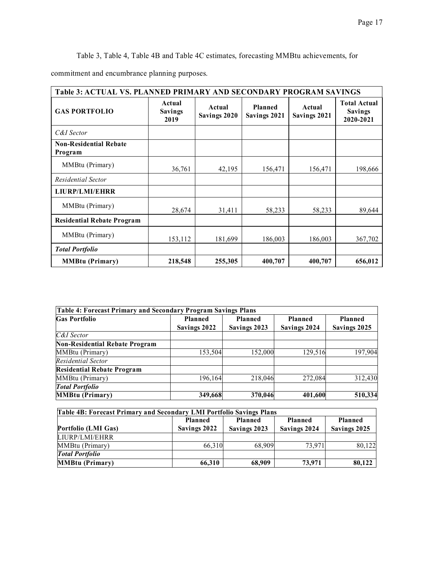commitment and encumbrance planning purposes.

<span id="page-16-0"></span>

| Table 3: ACTUAL VS. PLANNED PRIMARY AND SECONDARY PROGRAM SAVINGS |                           |                               |                                |                        |                                                    |
|-------------------------------------------------------------------|---------------------------|-------------------------------|--------------------------------|------------------------|----------------------------------------------------|
| <b>GAS PORTFOLIO</b>                                              | Actual<br>Savings<br>2019 | Actual<br><b>Savings 2020</b> | <b>Planned</b><br>Savings 2021 | Actual<br>Savings 2021 | <b>Total Actual</b><br><b>Savings</b><br>2020-2021 |
| C&I Sector                                                        |                           |                               |                                |                        |                                                    |
| <b>Non-Residential Rebate</b><br>Program                          |                           |                               |                                |                        |                                                    |
| MMBtu (Primary)                                                   | 36,761                    | 42,195                        | 156,471                        | 156,471                | 198,666                                            |
| Residential Sector                                                |                           |                               |                                |                        |                                                    |
| LIURP/LMI/EHRR                                                    |                           |                               |                                |                        |                                                    |
| MMBtu (Primary)                                                   | 28,674                    | 31,411                        | 58,233                         | 58,233                 | 89,644                                             |
| <b>Residential Rebate Program</b>                                 |                           |                               |                                |                        |                                                    |
| MMBtu (Primary)                                                   | 153,112                   | 181,699                       | 186,003                        | 186,003                | 367,702                                            |
| <b>Total Portfolio</b>                                            |                           |                               |                                |                        |                                                    |
| <b>MMBtu (Primary)</b>                                            | 218,548                   | 255,305                       | 400,707                        | 400,707                | 656,012                                            |

<span id="page-16-1"></span>

| <b>Table 4: Forecast Primary and Secondary Program Savings Plans</b> |                                                                  |         |                                       |                                |  |  |
|----------------------------------------------------------------------|------------------------------------------------------------------|---------|---------------------------------------|--------------------------------|--|--|
| <b>Gas Portfolio</b>                                                 | <b>Planned</b><br><b>Planned</b><br>Savings 2023<br>Savings 2022 |         | <b>Planned</b><br><b>Savings 2024</b> | <b>Planned</b><br>Savings 2025 |  |  |
| C&I Sector                                                           |                                                                  |         |                                       |                                |  |  |
| <b>Non-Residential Rebate Program</b>                                |                                                                  |         |                                       |                                |  |  |
| MMBtu (Primary)                                                      | 153,504                                                          | 152,000 | 129,516                               | 197,904                        |  |  |
| Residential Sector                                                   |                                                                  |         |                                       |                                |  |  |
| <b>Residential Rebate Program</b>                                    |                                                                  |         |                                       |                                |  |  |
| MMBtu (Primary)                                                      | 196,164                                                          | 218,046 | 272,084                               | 312,430                        |  |  |
| <b>Total Portfolio</b>                                               |                                                                  |         |                                       |                                |  |  |
| <b>MMBtu (Primary)</b>                                               | 349,668                                                          | 370,046 | 401,600                               | 510,334                        |  |  |

| Table 4B: Forecast Primary and Secondary LMI Portfolio Savings Plans |                |                |                |                |  |  |
|----------------------------------------------------------------------|----------------|----------------|----------------|----------------|--|--|
|                                                                      | <b>Planned</b> | <b>Planned</b> | <b>Planned</b> | <b>Planned</b> |  |  |
| Portfolio (LMI Gas)                                                  | Savings 2022   | Savings 2023   | Savings 2024   | Savings 2025   |  |  |
| LIURP/LMI/EHRR                                                       |                |                |                |                |  |  |
| MMBtu (Primary)                                                      | 66,310         | 68,909         | 73.971         | 80,122         |  |  |
| <b>Total Portfolio</b>                                               |                |                |                |                |  |  |
| <b>MMBtu (Primary)</b>                                               | 66,310         | 68,909         | 73,971         | 80,122         |  |  |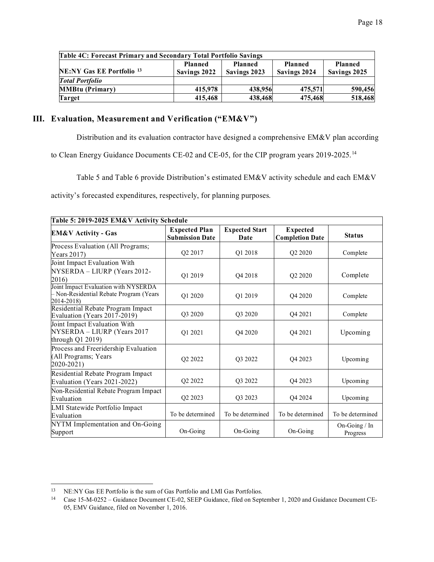| Table 4C: Forecast Primary and Secondary Total Portfolio Savings |                |                |                     |                     |  |
|------------------------------------------------------------------|----------------|----------------|---------------------|---------------------|--|
|                                                                  | <b>Planned</b> | <b>Planned</b> | <b>Planned</b>      | Planned             |  |
| <b>NE:NY Gas EE Portfolio</b> <sup>13</sup>                      | Savings 2022   | Savings 2023   | <b>Savings 2024</b> | <b>Savings 2025</b> |  |
| <b>Total Portfolio</b>                                           |                |                |                     |                     |  |
| <b>MMBtu (Primary)</b>                                           | 415,978        | 438,956        | 475,571             | 590,456             |  |
| <b>Target</b>                                                    | 415,468        | 438,468        | 475,468             | 518,468             |  |

# **III. Evaluation, Measurement and Verification ("EM&V")**

Distribution and its evaluation contractor have designed a comprehensive EM&V plan according

to Clean Energy Guidance Documents CE-02 and CE-05, for the CIP program years 2019-2025.<sup>[14](#page-17-2)</sup>

[Table 5 a](#page-17-0)nd [Table 6 p](#page-17-0)rovide Distribution's estimated EM&V activity schedule and each EM&V

activity's forecasted expenditures, respectively, for planning purposes.

| Table 5: 2019-2025 EM&V Activity Schedule                                                     |                                                |                               |                                           |                           |  |  |
|-----------------------------------------------------------------------------------------------|------------------------------------------------|-------------------------------|-------------------------------------------|---------------------------|--|--|
| <b>EM&amp;V Activity - Gas</b>                                                                | <b>Expected Plan</b><br><b>Submission Date</b> | <b>Expected Start</b><br>Date | <b>Expected</b><br><b>Completion Date</b> | <b>Status</b>             |  |  |
| Process Evaluation (All Programs;<br>Years 2017)                                              | Q <sub>2</sub> 2017                            | Q1 2018                       | Q2 2020                                   | Complete                  |  |  |
| Joint Impact Evaluation With                                                                  |                                                |                               |                                           |                           |  |  |
| NYSERDA - LIURP (Years 2012-<br>2016)                                                         | Q1 2019                                        | Q4 2018                       | O <sub>2</sub> 2020                       | Complete                  |  |  |
| Joint Impact Evaluation with NYSERDA<br>- Non-Residential Rebate Program (Years<br>2014-2018) | Q1 2020                                        | Q1 2019                       | Q4 2020                                   | Complete                  |  |  |
| Residential Rebate Program Impact<br>Evaluation (Years 2017-2019)                             | Q3 2020                                        | Q3 2020                       | O <sub>4</sub> 2021                       | Complete                  |  |  |
| Joint Impact Evaluation With<br>NYSERDA - LIURP (Years 2017<br>through Q1 2019)               | O1 2021                                        | O <sub>4</sub> 2020           | Q4 2021                                   | Upcoming                  |  |  |
| Process and Freeridership Evaluation<br>(All Programs; Years<br>2020-2021)                    | O <sub>2</sub> 2022                            | O3 2022                       | O <sub>4</sub> 2023                       | Upcoming                  |  |  |
| Residential Rebate Program Impact<br>Evaluation (Years 2021-2022)                             | Q <sub>2</sub> 2022                            | Q3 2022                       | Q4 2023                                   | Upcoming                  |  |  |
| Non-Residential Rebate Program Impact<br>Evaluation                                           | Q2 2023                                        | Q3 2023                       | Q4 2024                                   | Upcoming                  |  |  |
| LMI Statewide Portfolio Impact<br>Evaluation                                                  | To be determined                               | To be determined              | To be determined                          | To be determined          |  |  |
| NYTM Implementation and On-Going<br>Support                                                   | On-Going                                       | On-Going                      | $On-Going$                                | On-Going / In<br>Progress |  |  |

<span id="page-17-1"></span><span id="page-17-0"></span><sup>&</sup>lt;sup>13</sup> NE:NY Gas EE Portfolio is the sum of Gas Portfolio and LMI Gas Portfolios.<br><sup>14</sup> Case 15-M-0252 – Guidance Document CE-02, SEEP Guidance, filed on Sept

<span id="page-17-2"></span><sup>14</sup> Case 15-M-0252 – Guidance Document CE-02, SEEP Guidance, filed on September 1, 2020 and Guidance Document CE-05, EMV Guidance, filed on November 1, 2016.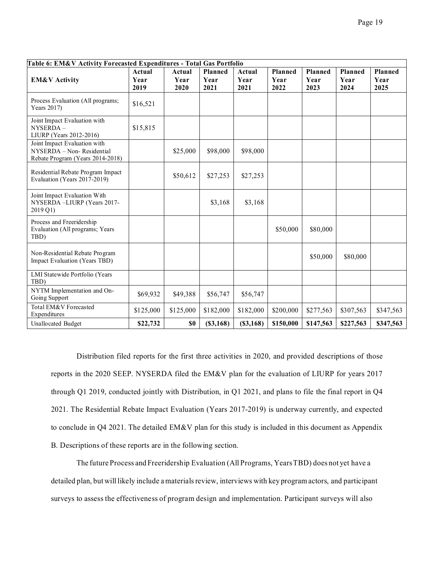| Table 6: EM&V Activity Forecasted Expenditures - Total Gas Portfolio                          | Actual       | Actual       | Planned      | Actual       | <b>Planned</b> | Planned      | Planned      | Planned      |
|-----------------------------------------------------------------------------------------------|--------------|--------------|--------------|--------------|----------------|--------------|--------------|--------------|
| <b>EM&amp;V</b> Activity                                                                      | Year<br>2019 | Year<br>2020 | Year<br>2021 | Year<br>2021 | Year<br>2022   | Year<br>2023 | Year<br>2024 | Year<br>2025 |
| Process Evaluation (All programs;<br>Years 2017)                                              | \$16,521     |              |              |              |                |              |              |              |
| Joint Impact Evaluation with<br>NYSERDA-<br>LIURP (Years 2012-2016)                           | \$15,815     |              |              |              |                |              |              |              |
| Joint Impact Evaluation with<br>NYSERDA - Non-Residential<br>Rebate Program (Years 2014-2018) |              | \$25,000     | \$98,000     | \$98,000     |                |              |              |              |
| Residential Rebate Program Impact<br>Evaluation (Years 2017-2019)                             |              | \$50,612     | \$27,253     | \$27,253     |                |              |              |              |
| Joint Impact Evaluation With<br>NYSERDA-LIURP (Years 2017-<br>2019 Q1)                        |              |              | \$3,168      | \$3,168      |                |              |              |              |
| Process and Freeridership<br>Evaluation (All programs; Years<br>TBD)                          |              |              |              |              | \$50,000       | \$80,000     |              |              |
| Non-Residential Rebate Program<br>Impact Evaluation (Years TBD)                               |              |              |              |              |                | \$50,000     | \$80,000     |              |
| LMI Statewide Portfolio (Years<br>TBD)                                                        |              |              |              |              |                |              |              |              |
| NYTM Implementation and On-<br>Going Support                                                  | \$69,932     | \$49,388     | \$56,747     | \$56,747     |                |              |              |              |
| Total EM&V Forecasted<br>Expenditures                                                         | \$125,000    | \$125,000    | \$182,000    | \$182,000    | \$200,000      | \$277,563    | \$307,563    | \$347,563    |
| <b>Unallocated Budget</b>                                                                     | \$22,732     | \$0          | (\$3,168)    | (S3, 168)    | \$150,000      | \$147,563    | \$227,563    | \$347,563    |

**Table 6: EM&V Activity Forecasted Expenditures - Total Gas Portfolio**

Distribution filed reports for the first three activities in 2020, and provided descriptions of those reports in the 2020 SEEP. NYSERDA filed the EM&V plan for the evaluation of LIURP for years 2017 through Q1 2019, conducted jointly with Distribution, in Q1 2021, and plans to file the final report in Q4 2021. The Residential Rebate Impact Evaluation (Years 2017-2019) is underway currently, and expected to conclude in Q4 2021. The detailed EM&V plan for this study is included in this document as Appendix B. Descriptions of these reports are in the following section.

The future Process and Freeridership Evaluation (All Programs, YearsTBD) does not yet have a detailed plan, but will likely include a materials review, interviews with key program actors, and participant surveys to assess the effectiveness of program design and implementation. Participant surveys will also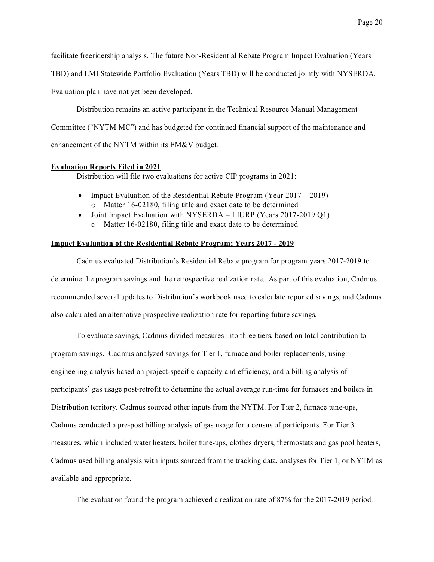facilitate freeridership analysis. The future Non-Residential Rebate Program Impact Evaluation (Years

TBD) and LMI Statewide Portfolio Evaluation (Years TBD) will be conducted jointly with NYSERDA.

Evaluation plan have not yet been developed.

Distribution remains an active participant in the Technical Resource Manual Management

Committee ("NYTM MC") and has budgeted for continued financial support of the maintenance and

enhancement of the NYTM within its EM&V budget.

#### **Evaluation Reports Filed in 2021**

Distribution will file two evaluations for active CIP programs in 2021:

- Impact Evaluation of the Residential Rebate Program (Year 2017 2019) o Matter 16-02180, filing title and exact date to be determined
- Joint Impact Evaluation with NYSERDA LIURP (Years 2017-2019 Q1) o Matter 16-02180, filing title and exact date to be determined

#### **Impact Evaluation of the Residential Rebate Program; Years 2017 - 2019**

Cadmus evaluated Distribution's Residential Rebate program for program years 2017-2019 to determine the program savings and the retrospective realization rate. As part of this evaluation, Cadmus recommended several updates to Distribution's workbook used to calculate reported savings, and Cadmus also calculated an alternative prospective realization rate for reporting future savings.

To evaluate savings, Cadmus divided measures into three tiers, based on total contribution to program savings. Cadmus analyzed savings for Tier 1, furnace and boiler replacements, using engineering analysis based on project-specific capacity and efficiency, and a billing analysis of participants' gas usage post-retrofit to determine the actual average run-time for furnaces and boilers in Distribution territory. Cadmus sourced other inputs from the NYTM. For Tier 2, furnace tune-ups, Cadmus conducted a pre-post billing analysis of gas usage for a census of participants. For Tier 3 measures, which included water heaters, boiler tune-ups, clothes dryers, thermostats and gas pool heaters, Cadmus used billing analysis with inputs sourced from the tracking data, analyses for Tier 1, or NYTM as available and appropriate.

The evaluation found the program achieved a realization rate of 87% for the 2017-2019 period.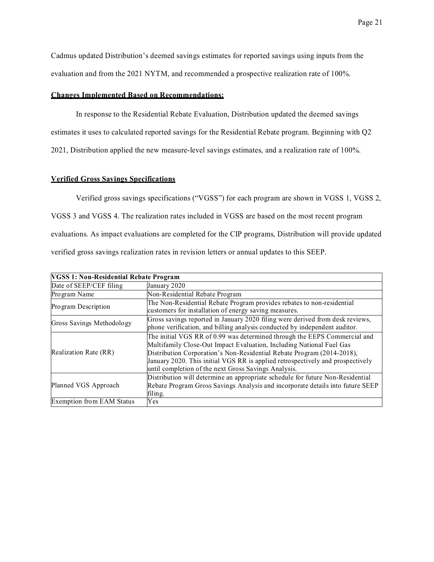Cadmus updated Distribution's deemed savings estimates for reported savings using inputs from the evaluation and from the 2021 NYTM, and recommended a prospective realization rate of 100%.

# **Changes Implemented Based on Recommendations:**

In response to the Residential Rebate Evaluation, Distribution updated the deemed savings estimates it uses to calculated reported savings for the Residential Rebate program. Beginning with Q2 2021, Distribution applied the new measure-level savings estimates, and a realization rate of 100%.

# **Verified Gross Savings Specifications**

Verified gross savings specifications ("VGSS") for each program are shown in VGSS 1, VGSS 2, VGSS 3 and VGSS 4. The realization rates included in VGSS are based on the most recent program evaluations. As impact evaluations are completed for the CIP programs, Distribution will provide updated verified gross savings realization rates in revision letters or annual updates to this SEEP.

| <b>VGSS 1: Non-Residential Rebate Program</b> |                                                                                                                                                                                                                                                                                                                                                                       |
|-----------------------------------------------|-----------------------------------------------------------------------------------------------------------------------------------------------------------------------------------------------------------------------------------------------------------------------------------------------------------------------------------------------------------------------|
| Date of SEEP/CEF filing                       | January 2020                                                                                                                                                                                                                                                                                                                                                          |
| Program Name                                  | Non-Residential Rebate Program                                                                                                                                                                                                                                                                                                                                        |
| Program Description                           | The Non-Residential Rebate Program provides rebates to non-residential                                                                                                                                                                                                                                                                                                |
|                                               | customers for installation of energy saving measures.                                                                                                                                                                                                                                                                                                                 |
| Gross Savings Methodology                     | Gross savings reported in January 2020 filing were derived from desk reviews,<br>phone verification, and billing analysis conducted by independent auditor.                                                                                                                                                                                                           |
| Realization Rate (RR)                         | The initial VGS RR of 0.99 was determined through the EEPS Commercial and<br>Multifamily Close-Out Impact Evaluation, Including National Fuel Gas<br>Distribution Corporation's Non-Residential Rebate Program (2014-2018),<br>January 2020. This initial VGS RR is applied retrospectively and prospectively<br>until completion of the next Gross Savings Analysis. |
| Planned VGS Approach                          | Distribution will determine an appropriate schedule for future Non-Residential<br>Rebate Program Gross Savings Analysis and incorporate details into future SEEP<br>filing.                                                                                                                                                                                           |
| <b>Exemption from EAM Status</b>              | Yes                                                                                                                                                                                                                                                                                                                                                                   |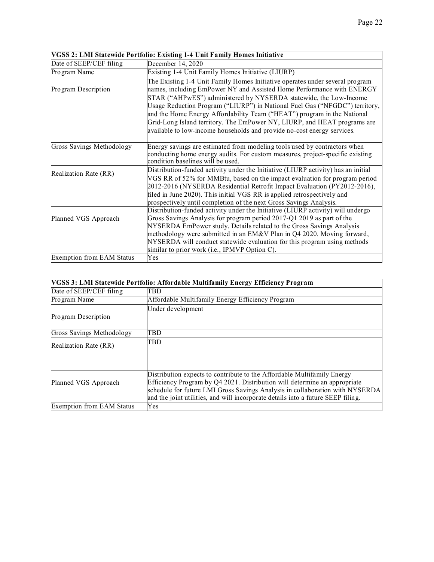٦

| Date of SEEP/CEF filing   | y G55 2. Ettil Statewige I Ortfolio. Existing 1-4 Onit Fallify Homes Initiative<br>December 14, 2020                                                                                                                                                                                                                                                                                                                                                                                                                                        |
|---------------------------|---------------------------------------------------------------------------------------------------------------------------------------------------------------------------------------------------------------------------------------------------------------------------------------------------------------------------------------------------------------------------------------------------------------------------------------------------------------------------------------------------------------------------------------------|
| Program Name              | Existing 1-4 Unit Family Homes Initiative (LIURP)                                                                                                                                                                                                                                                                                                                                                                                                                                                                                           |
| Program Description       | The Existing 1-4 Unit Family Homes Initiative operates under several program<br>names, including EmPower NY and Assisted Home Performance with ENERGY<br>STAR ("AHPwES") administered by NYSERDA statewide, the Low-Income<br>Usage Reduction Program ("LIURP") in National Fuel Gas ("NFGDC") territory,<br>and the Home Energy Affordability Team ("HEAT") program in the National<br>Grid-Long Island territory. The EmPower NY, LIURP, and HEAT programs are<br>available to low-income households and provide no-cost energy services. |
| Gross Savings Methodology | Energy savings are estimated from modeling tools used by contractors when<br>conducting home energy audits. For custom measures, project-specific existing<br>condition baselines will be used.                                                                                                                                                                                                                                                                                                                                             |
| Realization Rate (RR)     | Distribution-funded activity under the Initiative (LIURP activity) has an initial<br>VGS RR of 52% for MMBtu, based on the impact evaluation for program period<br>2012-2016 (NYSERDA Residential Retrofit Impact Evaluation (PY2012-2016),<br>filed in June 2020). This initial VGS RR is applied retrospectively and<br>prospectively until completion of the next Gross Savings Analysis.                                                                                                                                                |
| Planned VGS Approach      | Distribution-funded activity under the Initiative (LIURP activity) will undergo<br>Gross Savings Analysis for program period 2017-Q1 2019 as part of the<br>NYSERDA EmPower study. Details related to the Gross Savings Analysis<br>methodology were submitted in an EM&V Plan in Q4 2020. Moving forward,<br>NYSERDA will conduct statewide evaluation for this program using methods<br>similar to prior work (i.e., IPMVP Option C).                                                                                                     |
| Exemption from EAM Status | Yes                                                                                                                                                                                                                                                                                                                                                                                                                                                                                                                                         |

**VGSS 2: LMI Statewide Portfolio: Existing 1-4 Unit Family Homes Initiative**

|                           | VGSS 3: LMI Statewide Portfolio: Affordable Multifamily Energy Efficiency Program                                                                                                                                                                                                                                        |  |  |  |  |
|---------------------------|--------------------------------------------------------------------------------------------------------------------------------------------------------------------------------------------------------------------------------------------------------------------------------------------------------------------------|--|--|--|--|
| Date of SEEP/CEF filing   | TBD                                                                                                                                                                                                                                                                                                                      |  |  |  |  |
| Program Name              | Affordable Multifamily Energy Efficiency Program                                                                                                                                                                                                                                                                         |  |  |  |  |
| Program Description       | Under development                                                                                                                                                                                                                                                                                                        |  |  |  |  |
| Gross Savings Methodology | TBD                                                                                                                                                                                                                                                                                                                      |  |  |  |  |
| Realization Rate (RR)     | TBD                                                                                                                                                                                                                                                                                                                      |  |  |  |  |
| Planned VGS Approach      | Distribution expects to contribute to the Affordable Multifamily Energy<br>Efficiency Program by Q4 2021. Distribution will determine an appropriate<br>schedule for future LMI Gross Savings Analysis in collaboration with NYSERDA<br>and the joint utilities, and will incorporate details into a future SEEP filing. |  |  |  |  |
| Exemption from EAM Status | Yes                                                                                                                                                                                                                                                                                                                      |  |  |  |  |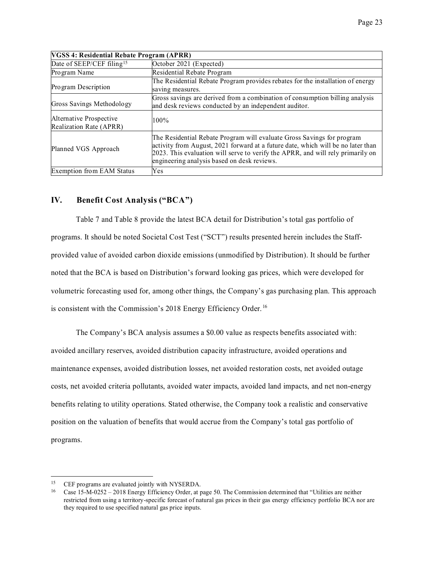| <b>VGSS 4: Residential Rebate Program (APRR)</b>   |                                                                                                                                                                                                                                                                                              |
|----------------------------------------------------|----------------------------------------------------------------------------------------------------------------------------------------------------------------------------------------------------------------------------------------------------------------------------------------------|
| Date of SEEP/CEF filing <sup>15</sup>              | October 2021 (Expected)                                                                                                                                                                                                                                                                      |
| Program Name                                       | Residential Rebate Program                                                                                                                                                                                                                                                                   |
| Program Description                                | The Residential Rebate Program provides rebates for the installation of energy<br>saving measures.                                                                                                                                                                                           |
| Gross Savings Methodology                          | Gross savings are derived from a combination of consumption billing analysis<br>and desk reviews conducted by an independent auditor.                                                                                                                                                        |
| Alternative Prospective<br>Realization Rate (APRR) | $100\%$                                                                                                                                                                                                                                                                                      |
| Planned VGS Approach                               | The Residential Rebate Program will evaluate Gross Savings for program<br>activity from August, 2021 forward at a future date, which will be no later than<br>2023. This evaluation will serve to verify the APRR, and will rely primarily on<br>engineering analysis based on desk reviews. |
| Exemption from EAM Status                          | Yes                                                                                                                                                                                                                                                                                          |

# **IV. Benefit Cost Analysis ("BCA")**

[Table 7 a](#page-23-0)nd [Table 8 p](#page-23-1)rovide the latest BCA detail for Distribution's total gas portfolio of programs. It should be noted Societal Cost Test ("SCT") results presented herein includes the Staffprovided value of avoided carbon dioxide emissions (unmodified by Distribution). It should be further noted that the BCA is based on Distribution's forward looking gas prices, which were developed for volumetric forecasting used for, among other things, the Company's gas purchasing plan. This approach is consistent with the Commission's 2018 Energy Efficiency Order.<sup>[16](#page-22-1)</sup>

The Company's BCA analysis assumes a \$0.00 value as respects benefits associated with: avoided ancillary reserves, avoided distribution capacity infrastructure, avoided operations and maintenance expenses, avoided distribution losses, net avoided restoration costs, net avoided outage costs, net avoided criteria pollutants, avoided water impacts, avoided land impacts, and net non-energy benefits relating to utility operations. Stated otherwise, the Company took a realistic and conservative position on the valuation of benefits that would accrue from the Company's total gas portfolio of programs.

<span id="page-22-0"></span><sup>&</sup>lt;sup>15</sup> CEF programs are evaluated jointly with NYSERDA.<br> $\frac{16}{2}$  Cese 15 M 0252 2018 Froggy Efficiency Order at n

<span id="page-22-1"></span><sup>16</sup> Case 15-M-0252 – 2018 Energy Efficiency Order, at page 50. The Commission determined that "Utilities are neither restricted from using a territory-specific forecast of natural gas prices in their gas energy efficiency portfolio BCA nor are they required to use specified natural gas price inputs.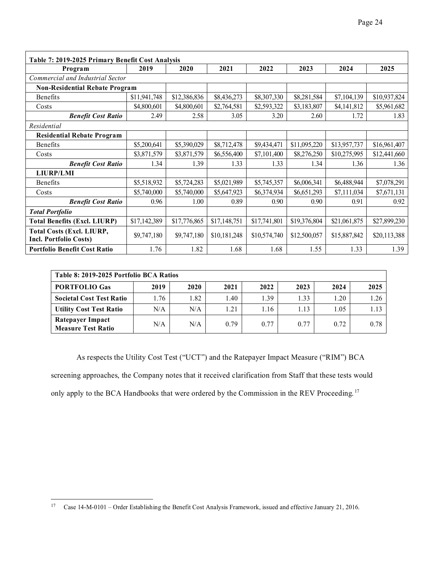<span id="page-23-0"></span>

| Table 7: 2019-2025 Primary Benefit Cost Analysis                  |              |              |              |              |              |              |              |
|-------------------------------------------------------------------|--------------|--------------|--------------|--------------|--------------|--------------|--------------|
| Program                                                           | 2019         | 2020         | 2021         | 2022         | 2023         | 2024         | 2025         |
| Commercial and Industrial Sector                                  |              |              |              |              |              |              |              |
| <b>Non-Residential Rebate Program</b>                             |              |              |              |              |              |              |              |
| Benefits                                                          | \$11,941,748 | \$12,386,836 | \$8,436,273  | \$8,307,330  | \$8,281,584  | \$7,104,139  | \$10,937,824 |
| Costs                                                             | \$4,800,601  | \$4,800,601  | \$2,764,581  | \$2,593,322  | \$3,183,807  | \$4,141,812  | \$5,961,682  |
| <b>Benefit Cost Ratio</b>                                         | 2.49         | 2.58         | 3.05         | 3.20         | 2.60         | 1.72         | 1.83         |
| Residential                                                       |              |              |              |              |              |              |              |
| <b>Residential Rebate Program</b>                                 |              |              |              |              |              |              |              |
| Benefits                                                          | \$5,200,641  | \$5,390,029  | \$8,712,478  | \$9,434,471  | \$11,095,220 | \$13,957,737 | \$16,961,407 |
| Costs                                                             | \$3,871,579  | \$3,871,579  | \$6,556,400  | \$7,101,400  | \$8,276,250  | \$10,275,995 | \$12,441,660 |
| <b>Benefit Cost Ratio</b>                                         | 1.34         | 1.39         | 1.33         | 1.33         | 1.34         | 1.36         | 1.36         |
| <b>LIURP/LMI</b>                                                  |              |              |              |              |              |              |              |
| Benefits                                                          | \$5,518,932  | \$5,724,283  | \$5,021,989  | \$5,745,357  | \$6,006,341  | \$6,488,944  | \$7,078,291  |
| Costs                                                             | \$5,740,000  | \$5,740,000  | \$5,647,923  | \$6,374,934  | \$6,651,293  | \$7,111,034  | \$7,671,131  |
| <b>Benefit Cost Ratio</b>                                         | 0.96         | 1.00         | 0.89         | 0.90         | 0.90         | 0.91         | 0.92         |
| <b>Total Portfolio</b>                                            |              |              |              |              |              |              |              |
| <b>Total Benefits (Excl. LIURP)</b>                               | \$17,142,389 | \$17,776,865 | \$17,148,751 | \$17,741,801 | \$19,376,804 | \$21,061,875 | \$27,899,230 |
| <b>Total Costs (Excl. LIURP,</b><br><b>Incl. Portfolio Costs)</b> | \$9,747,180  | \$9,747,180  | \$10,181,248 | \$10,574,740 | \$12,500,057 | \$15,887,842 | \$20,113,388 |
| <b>Portfolio Benefit Cost Ratio</b>                               | 1.76         | 1.82         | 1.68         | 1.68         | 1.55         | 1.33         | 1.39         |

<span id="page-23-1"></span>

| Table 8: 2019-2025 Portfolio BCA Ratios              |      |      |      |      |      |      |      |
|------------------------------------------------------|------|------|------|------|------|------|------|
| <b>PORTFOLIO Gas</b>                                 | 2019 | 2020 | 2021 | 2022 | 2023 | 2024 | 2025 |
| <b>Societal Cost Test Ratio</b>                      | 1.76 | 1.82 | 1.40 | 1.39 | 1.33 | 1.20 | 1.26 |
| <b>Utility Cost Test Ratio</b>                       | N/A  | N/A  | 1.21 | 1.16 | 1.13 | 1.05 | 1.13 |
| <b>Ratepayer Impact</b><br><b>Measure Test Ratio</b> | N/A  | N/A  | 0.79 | 0.77 | 0.77 | 0.72 | 0.78 |

As respects the Utility Cost Test ("UCT") and the Ratepayer Impact Measure ("RIM") BCA

screening approaches, the Company notes that it received clarification from Staff that these tests would

only apply to the BCA Handbooks that were ordered by the Commission in the REV Proceeding.<sup>[17](#page-23-2)</sup>

<span id="page-23-2"></span> <sup>17</sup> Case 14-M-0101 – Order Establishing the Benefit Cost Analysis Framework, issued and effective January 21, 2016.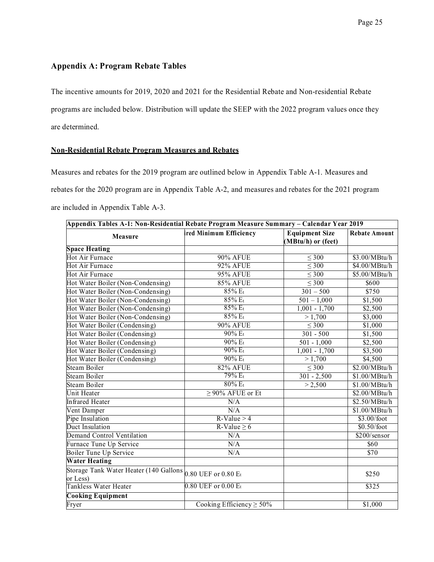# <span id="page-24-0"></span>**Appendix A: Program Rebate Tables**

The incentive amounts for 2019, 2020 and 2021 for the Residential Rebate and Non-residential Rebate

programs are included below. Distribution will update the SEEP with the 2022 program values once they

are determined.

# **Non-Residential Rebate Program Measures and Rebates**

Measures and rebates for the 2019 program are outlined below in Appendix Table A-1. Measures and rebates for the 2020 program are in Appendix Table A-2, and measures and rebates for the 2021 program are included in Appendix Table A-3.

| Appendix Tables A-1: Non-Residential Rebate Program Measure Summary - Calendar Year 2019 |                                     |                                             |                      |  |  |
|------------------------------------------------------------------------------------------|-------------------------------------|---------------------------------------------|----------------------|--|--|
| Measure                                                                                  | ired Minimum Efficiency             | <b>Equipment Size</b><br>(MBtu/h) or (feet) | <b>Rebate Amount</b> |  |  |
| <b>Space Heating</b>                                                                     |                                     |                                             |                      |  |  |
| Hot Air Furnace                                                                          | <b>90% AFUE</b>                     | $\leq 300$                                  | \$3.00/MBtu/h        |  |  |
| Hot Air Furnace                                                                          | 92% AFUE                            | $\leq 300$                                  | \$4.00/MBtu/h        |  |  |
| <b>Hot Air Furnace</b>                                                                   | 95% AFUE                            | $\leq 300$                                  | \$5.00/MBtu/h        |  |  |
| Hot Water Boiler (Non-Condensing)                                                        | <b>85% AFUE</b>                     | $\leq 300$                                  | \$600                |  |  |
| Hot Water Boiler (Non-Condensing)                                                        | 85% Et                              | $301 - 500$                                 | \$750                |  |  |
| Hot Water Boiler (Non-Condensing)                                                        | $85\%$ E <sub>t</sub>               | $501 - 1,000$                               | \$1,500              |  |  |
| Hot Water Boiler (Non-Condensing)                                                        | 85% Et                              | $1,001 - 1,700$                             | \$2,500              |  |  |
| Hot Water Boiler (Non-Condensing)                                                        | 85% Et                              | >1,700                                      | \$3,000              |  |  |
| Hot Water Boiler (Condensing)                                                            | <b>90% AFUE</b>                     | $\leq 300$                                  | \$1,000              |  |  |
| Hot Water Boiler (Condensing)                                                            | $90\%$ E <sub>t</sub>               | $301 - 500$                                 | \$1,500              |  |  |
| Hot Water Boiler (Condensing)                                                            | 90% Et                              | $501 - 1,000$                               | \$2,500              |  |  |
| Hot Water Boiler (Condensing)                                                            | $90\%$ E <sub>t</sub>               | $1,001 - 1,700$                             | \$3,500              |  |  |
| Hot Water Boiler (Condensing)                                                            | 90% Et                              | >1,700                                      | \$4,500              |  |  |
| <b>Steam Boiler</b>                                                                      | 82% AFUE                            | $\leq 300$                                  | \$2.00/MBtu/h        |  |  |
| Steam Boiler                                                                             | 79% Et                              | $301 - 2,500$                               | \$1.00/MBtu/h        |  |  |
| Steam Boiler                                                                             | $80\%$ E <sub>t</sub>               | > 2,500                                     | \$1.00/MBtu/h        |  |  |
| Unit Heater                                                                              | $\geq$ 90% AFUE or Et               |                                             | \$2.00/MBtu/h        |  |  |
| <b>Infrared Heater</b>                                                                   | N/A                                 |                                             | \$2.50/MBtu/h        |  |  |
| Vent Damper                                                                              | N/A                                 |                                             | \$1.00/MBtu/h        |  |  |
| Pipe Insulation                                                                          | $R-Value > 4$                       |                                             | \$3.00/foot          |  |  |
| Duct Insulation                                                                          | R-Value $\geq 6$                    |                                             | \$0.50/foot          |  |  |
| <b>Demand Control Ventilation</b>                                                        | N/A                                 |                                             | \$200/sensor         |  |  |
| Furnace Tune Up Service                                                                  | N/A                                 |                                             | \$60                 |  |  |
| Boiler Tune Up Service                                                                   | N/A                                 |                                             | $\overline{$}70$     |  |  |
| <b>Water Heating</b>                                                                     |                                     |                                             |                      |  |  |
| Storage Tank Water Heater (140 Gallons $0.80$ UEF or 0.80 Et<br>or Less)                 |                                     |                                             | \$250                |  |  |
| Tankless Water Heater                                                                    | $0.80$ UEF or $0.00$ E <sub>t</sub> |                                             | \$325                |  |  |
| <b>Cooking Equipment</b>                                                                 |                                     |                                             |                      |  |  |
| Fryer                                                                                    | Cooking Efficiency $\geq 50\%$      |                                             | \$1,000              |  |  |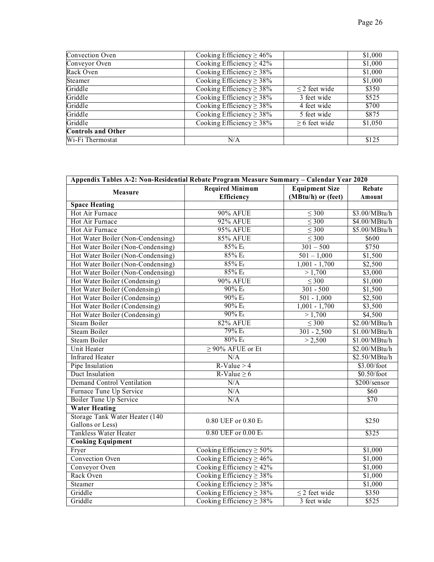| Page 26 |
|---------|
|         |

| Convection Oven           | Cooking Efficiency $\geq 46\%$ |                    | \$1,000 |
|---------------------------|--------------------------------|--------------------|---------|
| Conveyor Oven             | Cooking Efficiency $\geq 42\%$ |                    | \$1,000 |
| Rack Oven                 | Cooking Efficiency $\geq$ 38%  |                    | \$1,000 |
| Steamer                   | Cooking Efficiency $\geq$ 38%  |                    | \$1,000 |
| Griddle                   | Cooking Efficiency $\geq$ 38%  | $\leq$ 2 feet wide | \$350   |
| Griddle                   | Cooking Efficiency $\geq$ 38%  | 3 feet wide        | \$525   |
| Griddle                   | Cooking Efficiency $\geq$ 38%  | 4 feet wide        | \$700   |
| Griddle                   | Cooking Efficiency $\geq$ 38%  | 5 feet wide        | \$875   |
| Griddle                   | Cooking Efficiency $\geq$ 38%  | $> 6$ feet wide    | \$1,050 |
| <b>Controls and Other</b> |                                |                    |         |
| Wi-Fi Thermostat          | N/A                            |                    | \$125   |

| Appendix Tables A-2: Non-Residential Rebate Program Measure Summary - Calendar Year 2020 |                                |                            |               |  |  |
|------------------------------------------------------------------------------------------|--------------------------------|----------------------------|---------------|--|--|
| Measure                                                                                  | <b>Required Minimum</b>        | <b>Equipment Size</b>      | Rebate        |  |  |
|                                                                                          | Efficiency                     | (MBtu/h) or (feet)         | Amount        |  |  |
| <b>Space Heating</b>                                                                     |                                |                            |               |  |  |
| Hot Air Furnace                                                                          | <b>90% AFUE</b>                | $\leq 300$                 | \$3.00/MBtu/h |  |  |
| Hot Air Furnace                                                                          | 92% AFUE                       | $\leq 300$                 | \$4.00/MBtu/h |  |  |
| Hot Air Furnace                                                                          | 95% AFUE                       | $\leq 300$                 | \$5.00/MBtu/h |  |  |
| Hot Water Boiler (Non-Condensing)                                                        | <b>85% AFUE</b>                | $\leq 300$                 | \$600         |  |  |
| Hot Water Boiler (Non-Condensing)                                                        | 85% Et                         | $301 - 500$                | \$750         |  |  |
| Hot Water Boiler (Non-Condensing)                                                        | 85% Et                         | $501 - 1,000$              | \$1,500       |  |  |
| Hot Water Boiler (Non-Condensing)                                                        | 85% Et                         | $\overline{1,001 - 1,700}$ | \$2,500       |  |  |
| Hot Water Boiler (Non-Condensing)                                                        | 85% Et                         | >1,700                     | \$3,000       |  |  |
| Hot Water Boiler (Condensing)                                                            | <b>90% AFUE</b>                | $\leq 300$                 | \$1,000       |  |  |
| Hot Water Boiler (Condensing)                                                            | $90\%$ E <sub>t</sub>          | $301 - 500$                | \$1,500       |  |  |
| Hot Water Boiler (Condensing)                                                            | $90\%$ Et                      | $501 - 1,000$              | \$2,500       |  |  |
| Hot Water Boiler (Condensing)                                                            | 90% Et                         | $1,001 - 1,700$            | \$3,500       |  |  |
| Hot Water Boiler (Condensing)                                                            | $90\%$ E <sub>t</sub>          | >1,700                     | \$4,500       |  |  |
| <b>Steam Boiler</b>                                                                      | <b>82% AFUE</b>                | $\leq 300$                 | \$2.00/MBtu/h |  |  |
| <b>Steam Boiler</b>                                                                      | 79% Et                         | $301 - 2,500$              | \$1.00/MBtu/h |  |  |
| <b>Steam Boiler</b>                                                                      | $80\%$ E <sub>t</sub>          | > 2,500                    | \$1.00/MBtu/h |  |  |
| Unit Heater                                                                              | $\geq$ 90% AFUE or Et          |                            | \$2.00/MBtu/h |  |  |
| <b>Infrared Heater</b>                                                                   | N/A                            |                            | \$2.50/MBtu/h |  |  |
| Pipe Insulation                                                                          | $R-Value > 4$                  |                            | \$3.00/foot   |  |  |
| Duct Insulation                                                                          | R-Value $\geq 6$               |                            | \$0.50/foot   |  |  |
| <b>Demand Control Ventilation</b>                                                        | N/A                            |                            | \$200/sensor  |  |  |
| Furnace Tune Up Service                                                                  | N/A                            |                            | \$60          |  |  |
| Boiler Tune Up Service                                                                   | N/A                            |                            | \$70          |  |  |
| <b>Water Heating</b>                                                                     |                                |                            |               |  |  |
| Storage Tank Water Heater (140<br>Gallons or Less)                                       | 0.80 UEF or $0.80 E_t$         |                            | \$250         |  |  |
| <b>Tankless Water Heater</b>                                                             | $0.80$ UEF or $0.00$ Et        |                            | \$325         |  |  |
| <b>Cooking Equipment</b>                                                                 |                                |                            |               |  |  |
| Fryer                                                                                    | Cooking Efficiency $\geq 50\%$ |                            | \$1,000       |  |  |
| Convection Oven                                                                          | Cooking Efficiency $\geq 46\%$ |                            | \$1,000       |  |  |
| Conveyor Oven                                                                            | Cooking Efficiency $\geq 42\%$ |                            | \$1,000       |  |  |
| Rack Oven                                                                                | Cooking Efficiency $\geq 38\%$ |                            | \$1,000       |  |  |
| Steamer                                                                                  | Cooking Efficiency $\geq$ 38%  |                            | \$1,000       |  |  |
| Griddle                                                                                  | Cooking Efficiency $\geq$ 38%  | $\leq$ 2 feet wide         | \$350         |  |  |
| Griddle                                                                                  | Cooking Efficiency $\geq$ 38%  | 3 feet wide                | \$525         |  |  |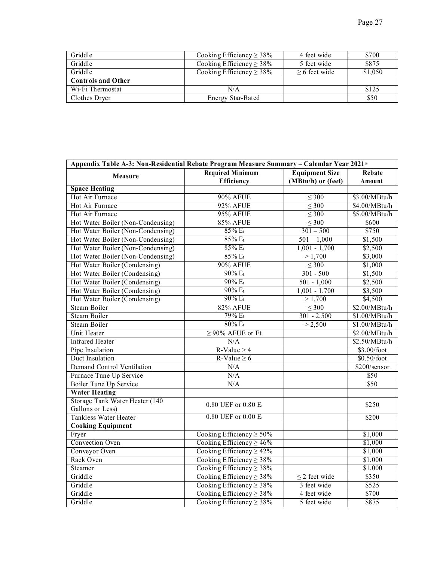| Griddle                   | Cooking Efficiency $\geq$ 38% | 4 feet wide    | \$700   |
|---------------------------|-------------------------------|----------------|---------|
| Griddle                   | Cooking Efficiency $\geq$ 38% | 5 feet wide    | \$875   |
| Griddle                   | Cooking Efficiency $\geq$ 38% | $>6$ feet wide | \$1,050 |
| <b>Controls and Other</b> |                               |                |         |
| Wi-Fi Thermostat          | N/A                           |                | \$125   |
| Clothes Dryer             | Energy Star-Rated             |                | \$50    |

| Appendix Table A-3: Non-Residential Rebate Program Measure Summary - Calendar Year 2021 <sup>20</sup> |                                |                       |                  |  |  |
|-------------------------------------------------------------------------------------------------------|--------------------------------|-----------------------|------------------|--|--|
| <b>Measure</b>                                                                                        | Required Minimum               | <b>Equipment Size</b> | Rebate           |  |  |
|                                                                                                       | Efficiency                     | (MBtu/h) or (feet)    | Amount           |  |  |
| <b>Space Heating</b>                                                                                  |                                |                       |                  |  |  |
| Hot Air Furnace                                                                                       | <b>90% AFUE</b>                | $\leq 300$            | \$3.00/MBtu/h    |  |  |
| Hot Air Furnace                                                                                       | 92% AFUE                       | $\leq 300$            | \$4.00/MBtu/h    |  |  |
| Hot Air Furnace                                                                                       | <b>95% AFUE</b>                | $\leq 300$            | \$5.00/MBtu/h    |  |  |
| Hot Water Boiler (Non-Condensing)                                                                     | <b>85% AFUE</b>                | $\leq 300$            | \$600            |  |  |
| Hot Water Boiler (Non-Condensing)                                                                     | 85% Et                         | $301 - 500$           | \$750            |  |  |
| Hot Water Boiler (Non-Condensing)                                                                     | 85% Et                         | $501 - 1,000$         | \$1,500          |  |  |
| Hot Water Boiler (Non-Condensing)                                                                     | 85% Et                         | $1,001 - 1,700$       | \$2,500          |  |  |
| Hot Water Boiler (Non-Condensing)                                                                     | 85% Et                         | >1,700                | \$3,000          |  |  |
| Hot Water Boiler (Condensing)                                                                         | 90% AFUE                       | $\leq 300$            | \$1,000          |  |  |
| Hot Water Boiler (Condensing)                                                                         | 90% Et                         | $301 - 500$           | \$1,500          |  |  |
| Hot Water Boiler (Condensing)                                                                         | 90% Et                         | $501 - 1,000$         | \$2,500          |  |  |
| Hot Water Boiler (Condensing)                                                                         | $90\%$ E <sub>t</sub>          | $1,001 - 1,700$       | \$3,500          |  |  |
| Hot Water Boiler (Condensing)                                                                         | $90\%$ E <sub>t</sub>          | >1,700                | \$4,500          |  |  |
| <b>Steam Boiler</b>                                                                                   | <b>82% AFUE</b>                | $\leq 300$            | \$2.00/MBtu/h    |  |  |
| <b>Steam Boiler</b>                                                                                   | 79% Et                         | $301 - 2,500$         | \$1.00/MBtu/h    |  |  |
| Steam Boiler                                                                                          | 80% Et                         | > 2,500               | \$1.00/MBtu/h    |  |  |
| Unit Heater                                                                                           | $\geq$ 90% AFUE or Et          |                       | \$2.00/MBtu/h    |  |  |
| <b>Infrared Heater</b>                                                                                | N/A                            |                       | \$2.50/MBtu/h    |  |  |
| Pipe Insulation                                                                                       | $R-Value > 4$                  |                       | \$3.00/foot      |  |  |
| Duct Insulation                                                                                       | R-Value $\geq 6$               |                       | \$0.50/foot      |  |  |
| Demand Control Ventilation                                                                            | N/A                            |                       | $$200/s$ ensor   |  |  |
| Furnace Tune Up Service                                                                               | N/A                            |                       | $\overline{$}50$ |  |  |
| Boiler Tune Up Service                                                                                | N/A                            |                       | $\overline{$50}$ |  |  |
| <b>Water Heating</b>                                                                                  |                                |                       |                  |  |  |
| Storage Tank Water Heater (140                                                                        | 0.80 UEF or $0.80 E_t$         |                       | \$250            |  |  |
| Gallons or Less)                                                                                      |                                |                       |                  |  |  |
| Tankless Water Heater                                                                                 | $0.80$ UEF or $0.00$ Et        |                       | \$200            |  |  |
| <b>Cooking Equipment</b>                                                                              |                                |                       |                  |  |  |
| Fryer                                                                                                 | Cooking Efficiency $\geq 50\%$ |                       | \$1,000          |  |  |
| Convection Oven                                                                                       | Cooking Efficiency $\geq 46\%$ |                       | \$1,000          |  |  |
| Conveyor Oven                                                                                         | Cooking Efficiency $\geq 42\%$ |                       | \$1,000          |  |  |
| Rack Oven                                                                                             | Cooking Efficiency $\geq$ 38%  |                       | \$1,000          |  |  |
| Steamer                                                                                               | Cooking Efficiency $\geq$ 38%  |                       | \$1,000          |  |  |
| Griddle                                                                                               | Cooking Efficiency $\geq$ 38%  | $\leq$ 2 feet wide    | \$350            |  |  |
| Griddle                                                                                               | Cooking Efficiency $\geq$ 38%  | 3 feet wide           | \$525            |  |  |
| Griddle                                                                                               | Cooking Efficiency $\geq 38\%$ | 4 feet wide           | \$700            |  |  |
| Griddle                                                                                               | Cooking Efficiency $\geq$ 38%  | 5 feet wide           | \$875            |  |  |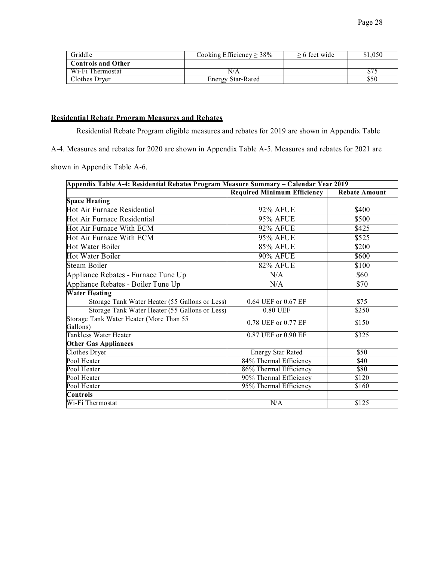| Griddle                   | Cooking Efficiency $\geq$ 38% | $>6$ feet wide | \$1,050 |
|---------------------------|-------------------------------|----------------|---------|
| <b>Controls and Other</b> |                               |                |         |
| Wi-Fi Thermostat          | N/A                           |                |         |
| Clothes Dryer             | Energy Star-Rated             |                | \$50    |

# <span id="page-27-0"></span>**Residential Rebate Program Measures and Rebates**

Residential Rebate Program eligible measures and rebates for 2019 are shown in Appendix Table

A-4. Measures and rebates for 2020 are shown in Appendix Table A-5. Measures and rebates for 2021 are

shown in Appendix Table A-6.

| Appendix Table A-4: Residential Rebates Program Measure Summary - Calendar Year 2019 |                                    |                      |  |
|--------------------------------------------------------------------------------------|------------------------------------|----------------------|--|
|                                                                                      | <b>Required Minimum Efficiency</b> | <b>Rebate Amount</b> |  |
| <b>Space Heating</b>                                                                 |                                    |                      |  |
| Hot Air Furnace Residential                                                          | 92% AFUE                           | \$400                |  |
| Hot Air Furnace Residential                                                          | 95% AFUE                           | \$500                |  |
| Hot Air Furnace With ECM                                                             | 92% AFUE                           | \$425                |  |
| Hot Air Furnace With ECM                                                             | 95% AFUE                           | \$525                |  |
| <b>Hot Water Boiler</b>                                                              | <b>85% AFUE</b>                    | \$200                |  |
| Hot Water Boiler                                                                     | <b>90% AFUE</b>                    | \$600                |  |
| Steam Boiler                                                                         | <b>82% AFUE</b>                    | \$100                |  |
| Appliance Rebates - Furnace Tune Up                                                  | N/A                                | \$60                 |  |
| Appliance Rebates - Boiler Tune Up                                                   | N/A                                | \$70                 |  |
| <b>Water Heating</b>                                                                 |                                    |                      |  |
| Storage Tank Water Heater (55 Gallons or Less)                                       | 0.64 UEF or 0.67 EF                | $\overline{$75}$     |  |
| Storage Tank Water Heater (55 Gallons or Less)                                       | 0.80 UEF                           | \$250                |  |
| Storage Tank Water Heater (More Than 55<br>Gallons)                                  | 0.78 UEF or 0.77 EF                | \$150                |  |
| Tankless Water Heater                                                                | 0.87 UEF or 0.90 EF                | \$325                |  |
| <b>Other Gas Appliances</b>                                                          |                                    |                      |  |
| Clothes Dryer                                                                        | Energy Star Rated                  | \$50                 |  |
| Pool Heater                                                                          | 84% Thermal Efficiency             | \$40                 |  |
| Pool Heater                                                                          | 86% Thermal Efficiency             | \$80                 |  |
| Pool Heater                                                                          | 90% Thermal Efficiency             | \$120                |  |
| Pool Heater                                                                          | 95% Thermal Efficiency             | \$160                |  |
| Controls                                                                             |                                    |                      |  |
| Wi-Fi Thermostat                                                                     | N/A                                | \$125                |  |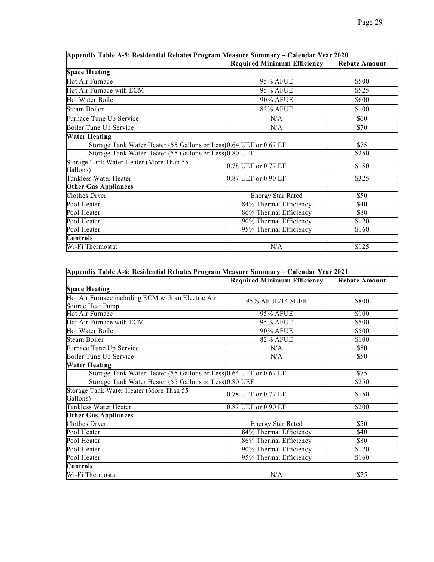| Appendix Table A-5: Residential Rebates Program Measure Summary – Calendar Year 2020 |                                    |                      |  |
|--------------------------------------------------------------------------------------|------------------------------------|----------------------|--|
|                                                                                      | <b>Required Minimum Efficiency</b> | <b>Rebate Amount</b> |  |
| <b>Space Heating</b>                                                                 |                                    |                      |  |
| Hot Air Furnace                                                                      | 95% AFUE                           | \$500                |  |
| Hot Air Furnace with ECM                                                             | 95% AFUE                           | \$525                |  |
| Hot Water Boiler                                                                     | 90% AFUE                           | \$600                |  |
| Steam Boiler                                                                         | <b>82% AFUE</b>                    | \$100                |  |
| Furnace Tune Up Service                                                              | N/A                                | \$60                 |  |
| Boiler Tune Up Service                                                               | N/A                                | \$70                 |  |
| <b>Water Heating</b>                                                                 |                                    |                      |  |
| Storage Tank Water Heater (55 Gallons or Less) 0.64 UEF or 0.67 EF                   |                                    | \$75                 |  |
| Storage Tank Water Heater (55 Gallons or Less) 0.80 UEF                              |                                    | \$250                |  |
| Storage Tank Water Heater (More Than 55<br>Gallons)                                  | 0.78 UEF or 0.77 EF                | \$150                |  |
| Tankless Water Heater                                                                | 0.87 UEF or 0.90 EF                | \$325                |  |
| <b>Other Gas Appliances</b>                                                          |                                    |                      |  |
| Clothes Dryer                                                                        | Energy Star Rated                  | \$50                 |  |
| Pool Heater                                                                          | 84% Thermal Efficiency             | \$40                 |  |
| Pool Heater                                                                          | 86% Thermal Efficiency             | \$80                 |  |
| Pool Heater                                                                          | 90% Thermal Efficiency             | \$120                |  |
| Pool Heater                                                                          | 95% Thermal Efficiency             | \$160                |  |
| Controls                                                                             |                                    |                      |  |
| Wi-Fi Thermostat                                                                     | N/A                                | \$125                |  |

| Appendix Table A-6: Residential Rebates Program Measure Summary - Calendar Year 2021 |                                    |                      |  |
|--------------------------------------------------------------------------------------|------------------------------------|----------------------|--|
|                                                                                      | <b>Required Minimum Efficiency</b> | <b>Rebate Amount</b> |  |
| <b>Space Heating</b>                                                                 |                                    |                      |  |
| Hot Air Furnace including ECM with an Electric Air<br>Source Heat Pump               | 95% AFUE/14 SEER                   | \$800                |  |
| <b>Hot Air Furnace</b>                                                               | 95% AFUE                           | \$100                |  |
| Hot Air Furnace with ECM                                                             | 95% AFUE                           | \$500                |  |
| Hot Water Boiler                                                                     | 90% AFUE                           | \$500                |  |
| Steam Boiler                                                                         | <b>82% AFUE</b>                    | \$100                |  |
| Furnace Tune Up Service                                                              | N/A                                | \$50                 |  |
| Boiler Tune Up Service                                                               | N/A                                | \$50                 |  |
| <b>Water Heating</b>                                                                 |                                    |                      |  |
| Storage Tank Water Heater (55 Gallons or Less) 0.64 UEF or 0.67 EF                   |                                    | \$75                 |  |
| Storage Tank Water Heater (55 Gallons or Less) 0.80 UEF                              |                                    | \$250                |  |
| Storage Tank Water Heater (More Than 55<br>Gallons)                                  | 0.78 UEF or 0.77 EF                | \$150                |  |
| Tankless Water Heater                                                                | 0.87 UEF or 0.90 EF                | \$200                |  |
| <b>Other Gas Appliances</b>                                                          |                                    |                      |  |
| Clothes Dryer                                                                        | Energy Star Rated                  | \$50                 |  |
| Pool Heater                                                                          | 84% Thermal Efficiency             | \$40                 |  |
| Pool Heater                                                                          | 86% Thermal Efficiency             | \$80                 |  |
| Pool Heater                                                                          | 90% Thermal Efficiency             | \$120                |  |
| Pool Heater                                                                          | 95% Thermal Efficiency             | \$160                |  |
| Controls                                                                             |                                    |                      |  |
| Wi-Fi Thermostat                                                                     | N/A                                | \$75                 |  |